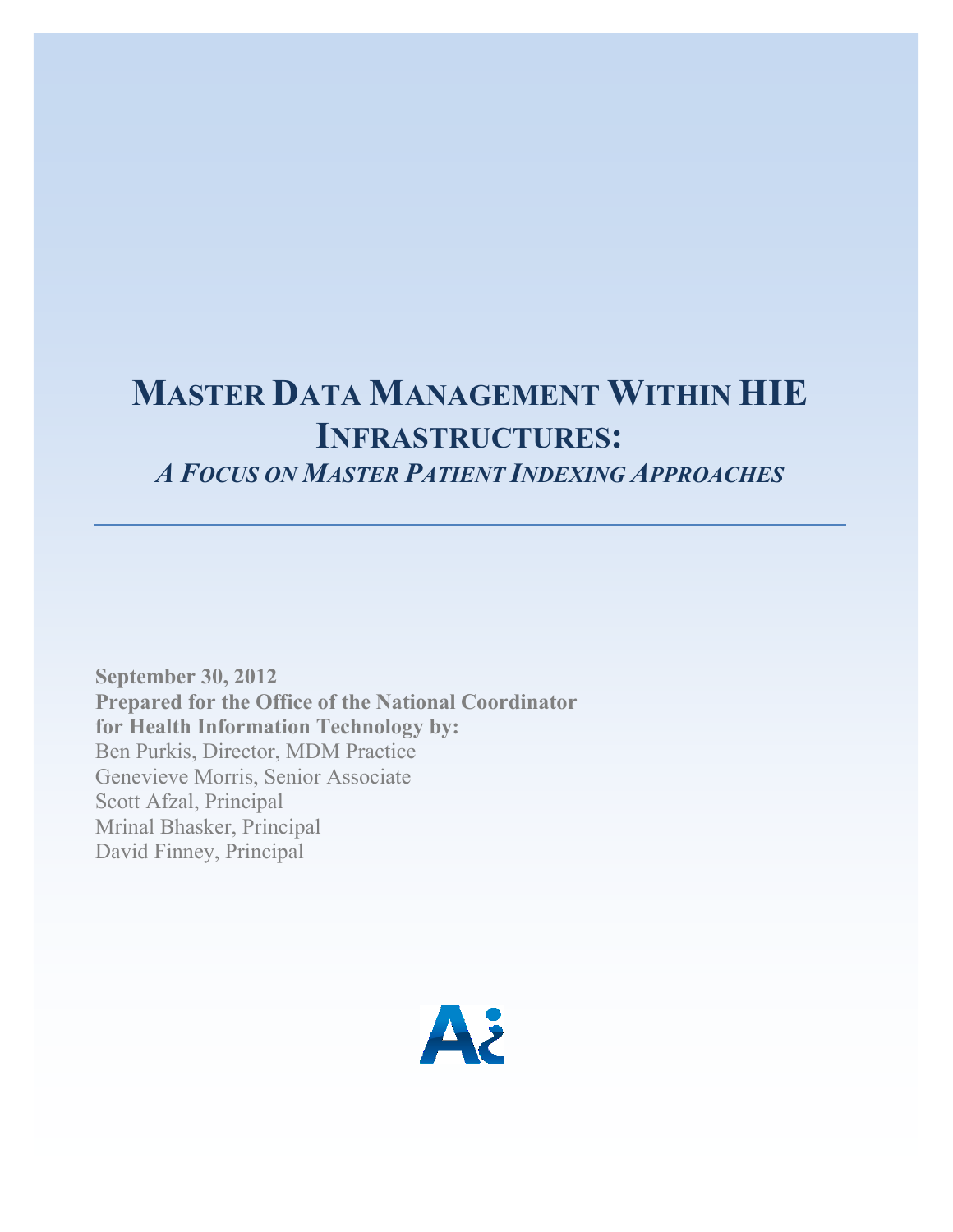# **MASTER DATA MANAGEMENT WITHIN HIE INFRASTRUCTURES:**

*A FOCUS ON MASTER PATIENT INDEXING APPROACHES*

**September 30, 2012 Prepared for the Office of the National Coordinator for Health Information Technology by:** Ben Purkis, Director, MDM Practice Genevieve Morris, Senior Associate Scott Afzal, Principal Mrinal Bhasker, Principal David Finney, Principal

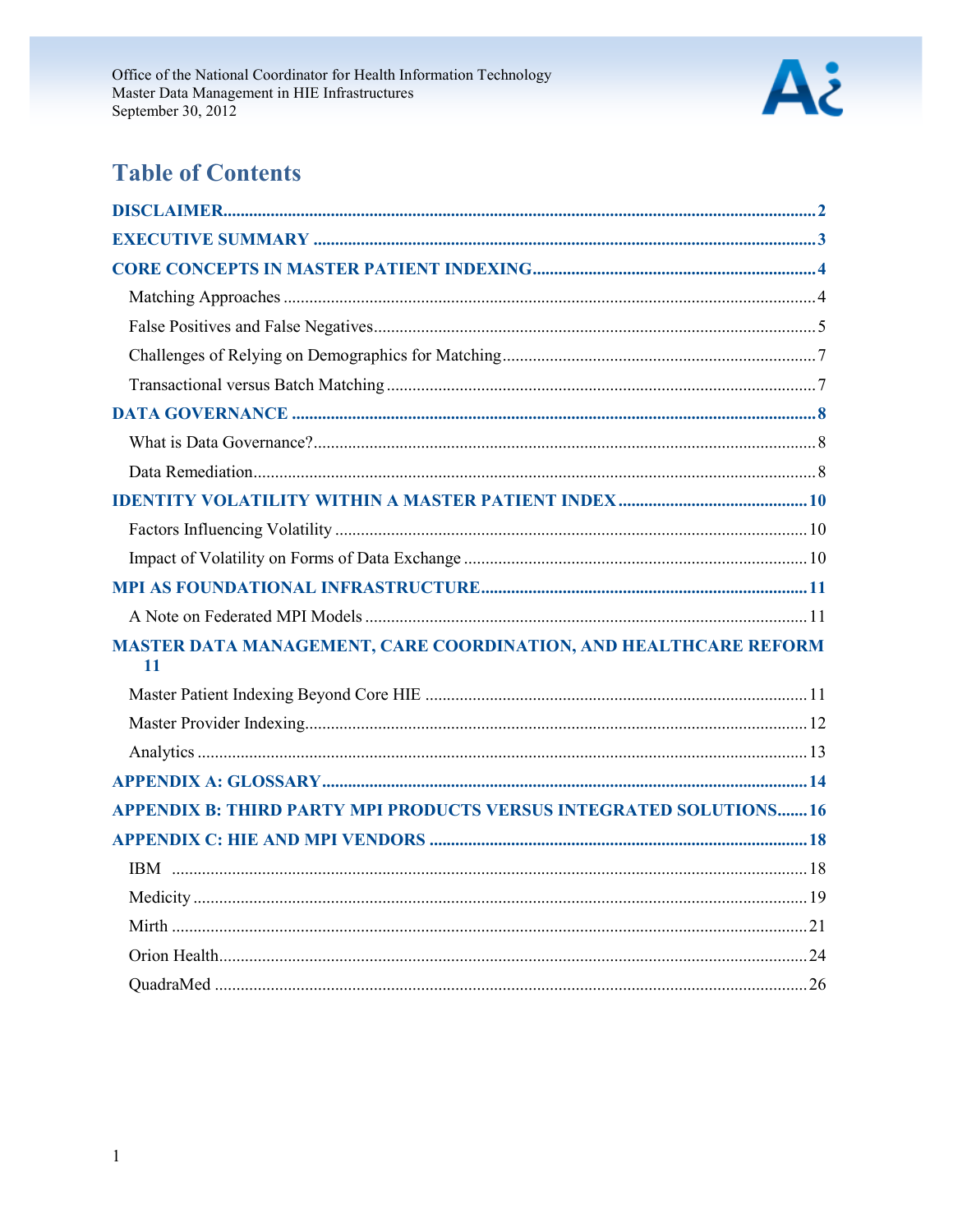

## **Table of Contents**

| MASTER DATA MANAGEMENT, CARE COORDINATION, AND HEALTHCARE REFORM<br>11    |  |
|---------------------------------------------------------------------------|--|
|                                                                           |  |
|                                                                           |  |
|                                                                           |  |
|                                                                           |  |
| <b>APPENDIX B: THIRD PARTY MPI PRODUCTS VERSUS INTEGRATED SOLUTIONS16</b> |  |
|                                                                           |  |
|                                                                           |  |
|                                                                           |  |
|                                                                           |  |
|                                                                           |  |
|                                                                           |  |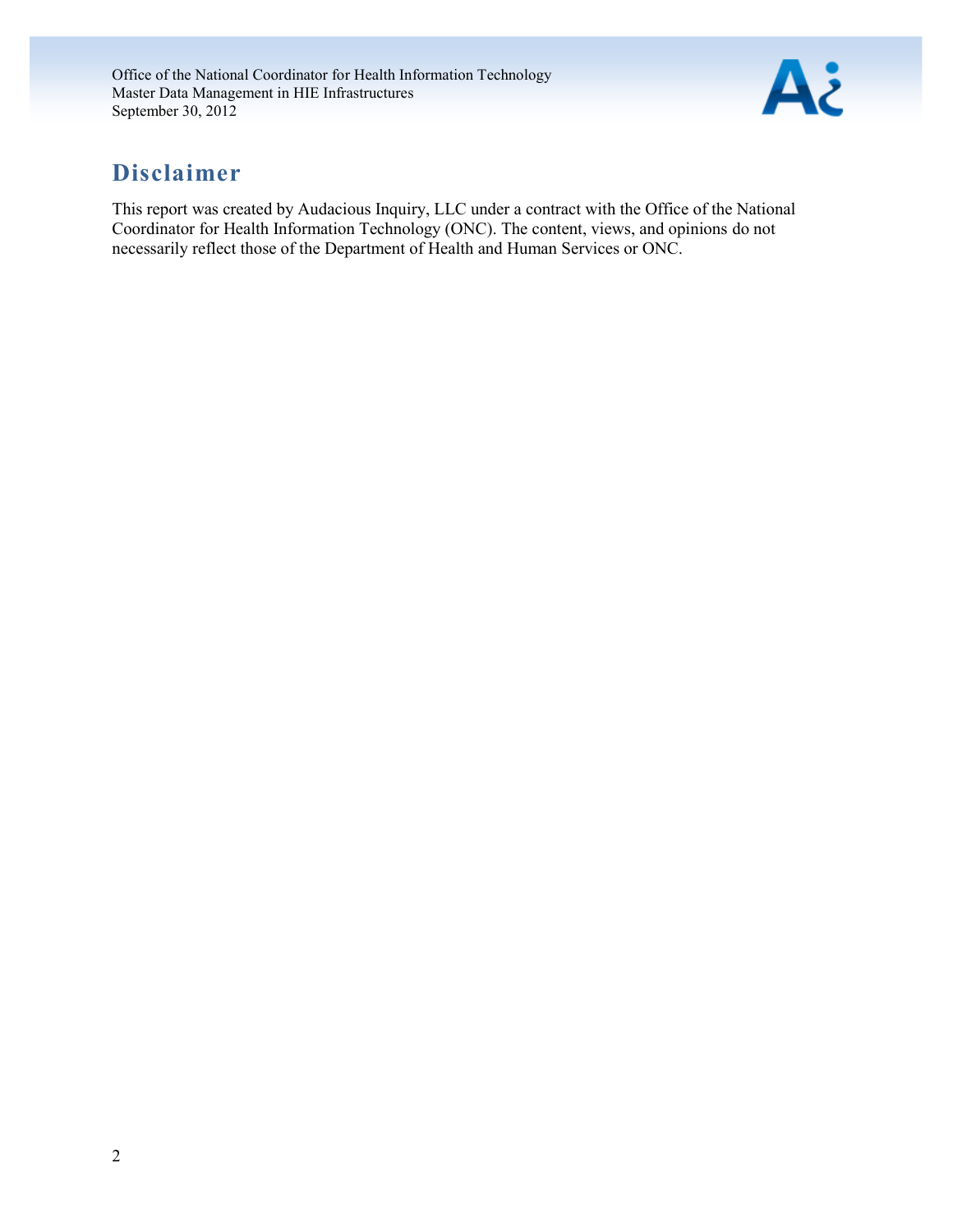

## <span id="page-2-0"></span>**Disclaimer**

This report was created by Audacious Inquiry, LLC under a contract with the Office of the National Coordinator for Health Information Technology (ONC). The content, views, and opinions do not necessarily reflect those of the Department of Health and Human Services or ONC.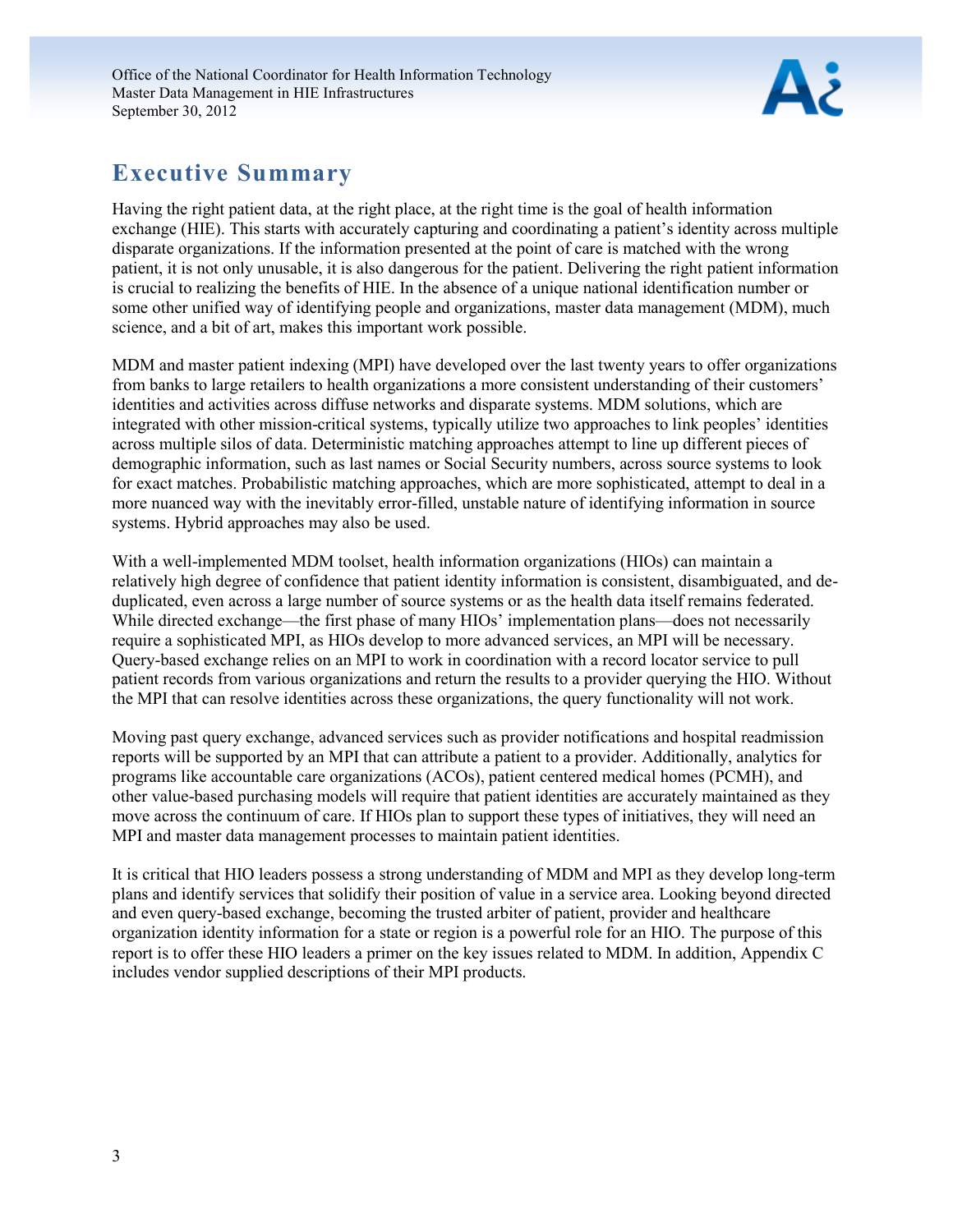

## <span id="page-3-0"></span>**Executive Summary**

Having the right patient data, at the right place, at the right time is the goal of health information exchange (HIE). This starts with accurately capturing and coordinating a patient's identity across multiple disparate organizations. If the information presented at the point of care is matched with the wrong patient, it is not only unusable, it is also dangerous for the patient. Delivering the right patient information is crucial to realizing the benefits of HIE. In the absence of a unique national identification number or some other unified way of identifying people and organizations, master data management (MDM), much science, and a bit of art, makes this important work possible.

MDM and master patient indexing (MPI) have developed over the last twenty years to offer organizations from banks to large retailers to health organizations a more consistent understanding of their customers' identities and activities across diffuse networks and disparate systems. MDM solutions, which are integrated with other mission-critical systems, typically utilize two approaches to link peoples' identities across multiple silos of data. Deterministic matching approaches attempt to line up different pieces of demographic information, such as last names or Social Security numbers, across source systems to look for exact matches. Probabilistic matching approaches, which are more sophisticated, attempt to deal in a more nuanced way with the inevitably error-filled, unstable nature of identifying information in source systems. Hybrid approaches may also be used.

With a well-implemented MDM toolset, health information organizations (HIOs) can maintain a relatively high degree of confidence that patient identity information is consistent, disambiguated, and deduplicated, even across a large number of source systems or as the health data itself remains federated. While directed exchange—the first phase of many HIOs' implementation plans—does not necessarily require a sophisticated MPI, as HIOs develop to more advanced services, an MPI will be necessary. Query-based exchange relies on an MPI to work in coordination with a record locator service to pull patient records from various organizations and return the results to a provider querying the HIO. Without the MPI that can resolve identities across these organizations, the query functionality will not work.

Moving past query exchange, advanced services such as provider notifications and hospital readmission reports will be supported by an MPI that can attribute a patient to a provider. Additionally, analytics for programs like accountable care organizations (ACOs), patient centered medical homes (PCMH), and other value-based purchasing models will require that patient identities are accurately maintained as they move across the continuum of care. If HIOs plan to support these types of initiatives, they will need an MPI and master data management processes to maintain patient identities.

<span id="page-3-1"></span>It is critical that HIO leaders possess a strong understanding of MDM and MPI as they develop long-term plans and identify services that solidify their position of value in a service area. Looking beyond directed and even query-based exchange, becoming the trusted arbiter of patient, provider and healthcare organization identity information for a state or region is a powerful role for an HIO. The purpose of this report is to offer these HIO leaders a primer on the key issues related to MDM. In addition, Appendix C includes vendor supplied descriptions of their MPI products.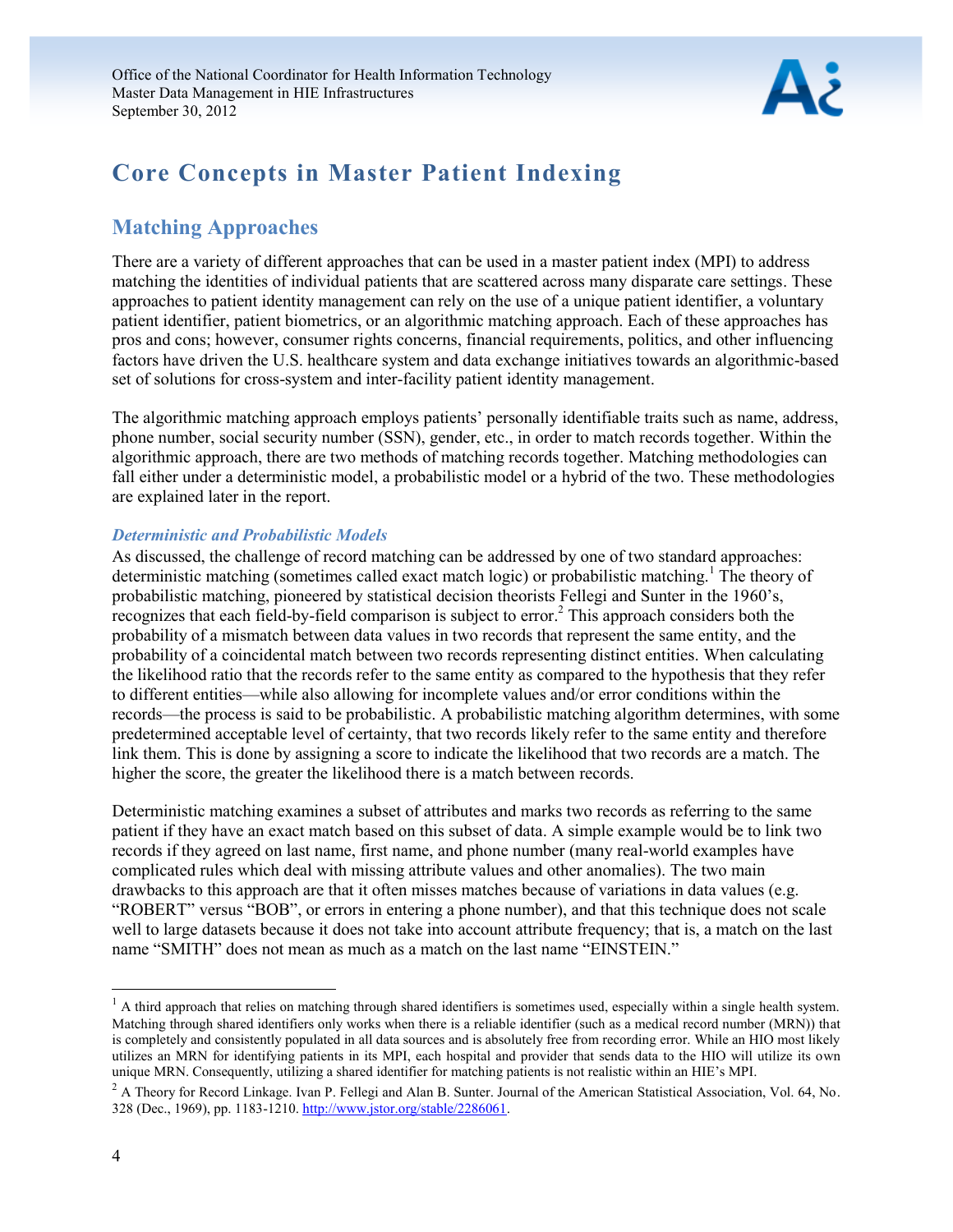

## **Core Concepts in Master Patient Indexing**

## <span id="page-4-0"></span>**Matching Approaches**

There are a variety of different approaches that can be used in a master patient index (MPI) to address matching the identities of individual patients that are scattered across many disparate care settings. These approaches to patient identity management can rely on the use of a unique patient identifier, a voluntary patient identifier, patient biometrics, or an algorithmic matching approach. Each of these approaches has pros and cons; however, consumer rights concerns, financial requirements, politics, and other influencing factors have driven the U.S. healthcare system and data exchange initiatives towards an algorithmic-based set of solutions for cross-system and inter-facility patient identity management.

The algorithmic matching approach employs patients' personally identifiable traits such as name, address, phone number, social security number (SSN), gender, etc., in order to match records together. Within the algorithmic approach, there are two methods of matching records together. Matching methodologies can fall either under a deterministic model, a probabilistic model or a hybrid of the two. These methodologies are explained later in the report.

#### *Deterministic and Probabilistic Models*

As discussed, the challenge of record matching can be addressed by one of two standard approaches: deterministic matching (sometimes called exact match logic) or probabilistic matching.<sup>1</sup> The theory of probabilistic matching, pioneered by statistical decision theorists Fellegi and Sunter in the 1960's,  $r$ ecognizes that each field-by-field comparison is subject to error.<sup>2</sup> This approach considers both the probability of a mismatch between data values in two records that represent the same entity, and the probability of a coincidental match between two records representing distinct entities. When calculating the likelihood ratio that the records refer to the same entity as compared to the hypothesis that they refer to different entities—while also allowing for incomplete values and/or error conditions within the records—the process is said to be probabilistic. A probabilistic matching algorithm determines, with some predetermined acceptable level of certainty, that two records likely refer to the same entity and therefore link them. This is done by assigning a score to indicate the likelihood that two records are a match. The higher the score, the greater the likelihood there is a match between records.

Deterministic matching examines a subset of attributes and marks two records as referring to the same patient if they have an exact match based on this subset of data. A simple example would be to link two records if they agreed on last name, first name, and phone number (many real-world examples have complicated rules which deal with missing attribute values and other anomalies). The two main drawbacks to this approach are that it often misses matches because of variations in data values (e.g. "ROBERT" versus "BOB", or errors in entering a phone number), and that this technique does not scale well to large datasets because it does not take into account attribute frequency; that is, a match on the last name "SMITH" does not mean as much as a match on the last name "EINSTEIN."

l

 $<sup>1</sup>$  A third approach that relies on matching through shared identifiers is sometimes used, especially within a single health system.</sup> Matching through shared identifiers only works when there is a reliable identifier (such as a medical record number (MRN)) that is completely and consistently populated in all data sources and is absolutely free from recording error. While an HIO most likely utilizes an MRN for identifying patients in its MPI, each hospital and provider that sends data to the HIO will utilize its own unique MRN. Consequently, utilizing a shared identifier for matching patients is not realistic within an HIE's MPI.

<sup>&</sup>lt;sup>2</sup> A Theory for Record Linkage. Ivan P. Fellegi and Alan B. Sunter. Journal of the American Statistical Association, Vol. 64, No. 328 (Dec., 1969), pp. 1183-1210[. http://www.jstor.org/stable/2286061.](http://www.jstor.org/stable/2286061)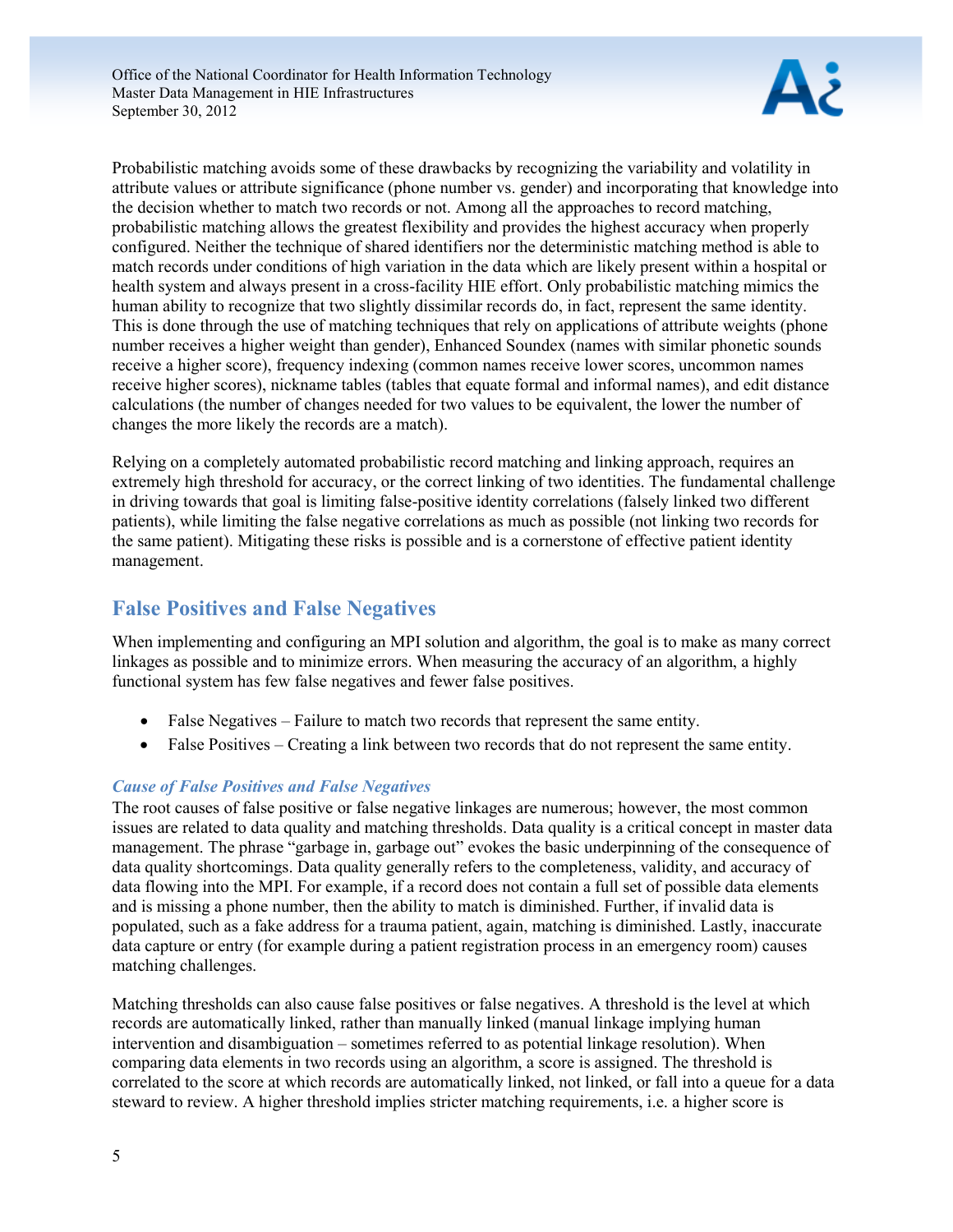

Probabilistic matching avoids some of these drawbacks by recognizing the variability and volatility in attribute values or attribute significance (phone number vs. gender) and incorporating that knowledge into the decision whether to match two records or not. Among all the approaches to record matching, probabilistic matching allows the greatest flexibility and provides the highest accuracy when properly configured. Neither the technique of shared identifiers nor the deterministic matching method is able to match records under conditions of high variation in the data which are likely present within a hospital or health system and always present in a cross-facility HIE effort. Only probabilistic matching mimics the human ability to recognize that two slightly dissimilar records do, in fact, represent the same identity. This is done through the use of matching techniques that rely on applications of attribute weights (phone number receives a higher weight than gender), Enhanced Soundex (names with similar phonetic sounds receive a higher score), frequency indexing (common names receive lower scores, uncommon names receive higher scores), nickname tables (tables that equate formal and informal names), and edit distance calculations (the number of changes needed for two values to be equivalent, the lower the number of changes the more likely the records are a match).

Relying on a completely automated probabilistic record matching and linking approach, requires an extremely high threshold for accuracy, or the correct linking of two identities. The fundamental challenge in driving towards that goal is limiting false-positive identity correlations (falsely linked two different patients), while limiting the false negative correlations as much as possible (not linking two records for the same patient). Mitigating these risks is possible and is a cornerstone of effective patient identity management.

## <span id="page-5-0"></span>**False Positives and False Negatives**

When implementing and configuring an MPI solution and algorithm, the goal is to make as many correct linkages as possible and to minimize errors. When measuring the accuracy of an algorithm, a highly functional system has few false negatives and fewer false positives.

- False Negatives Failure to match two records that represent the same entity.
- False Positives Creating a link between two records that do not represent the same entity.

### *Cause of False Positives and False Negatives*

The root causes of false positive or false negative linkages are numerous; however, the most common issues are related to data quality and matching thresholds. Data quality is a critical concept in master data management. The phrase "garbage in, garbage out" evokes the basic underpinning of the consequence of data quality shortcomings. Data quality generally refers to the completeness, validity, and accuracy of data flowing into the MPI. For example, if a record does not contain a full set of possible data elements and is missing a phone number, then the ability to match is diminished. Further, if invalid data is populated, such as a fake address for a trauma patient, again, matching is diminished. Lastly, inaccurate data capture or entry (for example during a patient registration process in an emergency room) causes matching challenges.

Matching thresholds can also cause false positives or false negatives. A threshold is the level at which records are automatically linked, rather than manually linked (manual linkage implying human intervention and disambiguation – sometimes referred to as potential linkage resolution). When comparing data elements in two records using an algorithm, a score is assigned. The threshold is correlated to the score at which records are automatically linked, not linked, or fall into a queue for a data steward to review. A higher threshold implies stricter matching requirements, i.e. a higher score is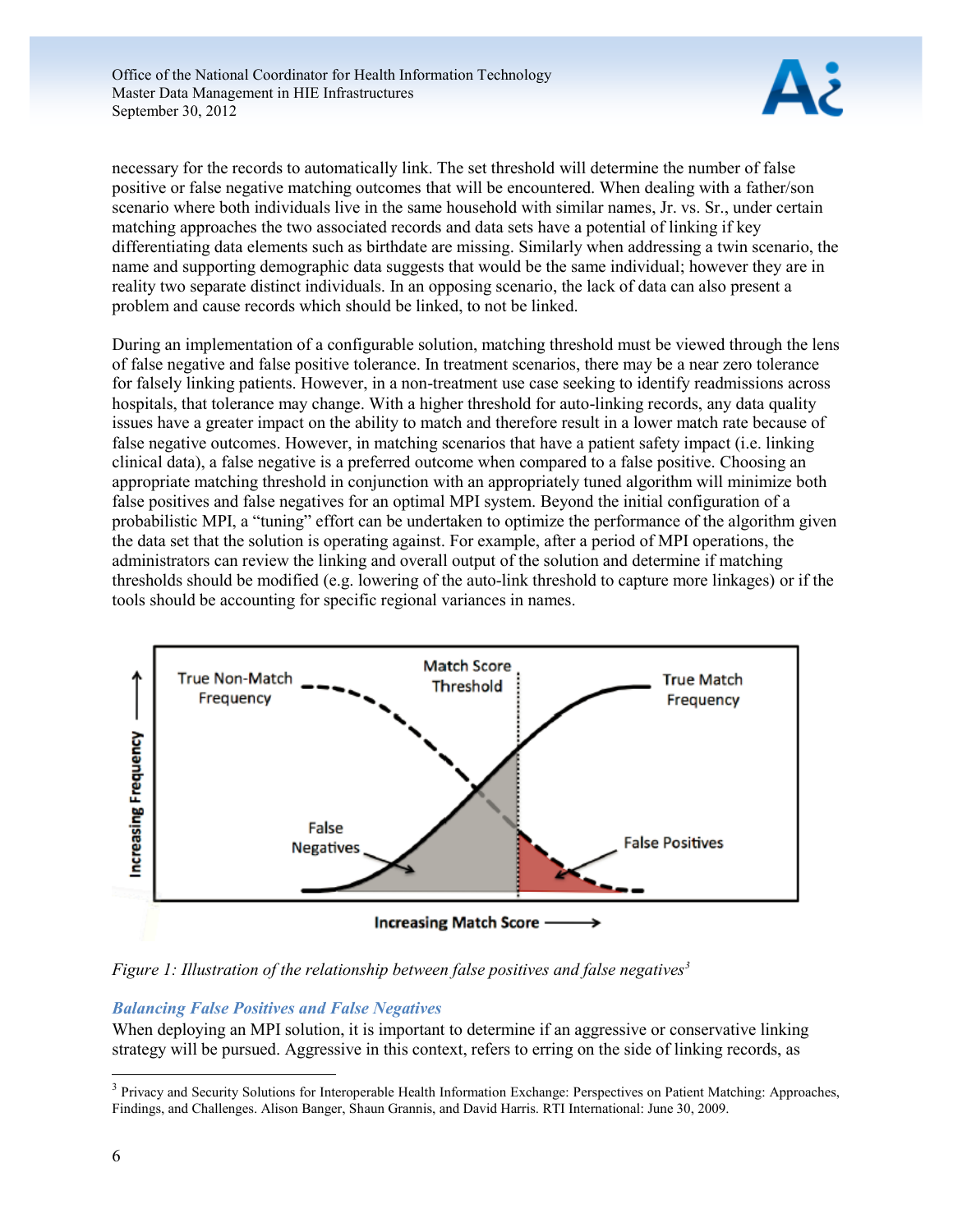

necessary for the records to automatically link. The set threshold will determine the number of false positive or false negative matching outcomes that will be encountered. When dealing with a father/son scenario where both individuals live in the same household with similar names, Jr. vs. Sr., under certain matching approaches the two associated records and data sets have a potential of linking if key differentiating data elements such as birthdate are missing. Similarly when addressing a twin scenario, the name and supporting demographic data suggests that would be the same individual; however they are in reality two separate distinct individuals. In an opposing scenario, the lack of data can also present a problem and cause records which should be linked, to not be linked.

During an implementation of a configurable solution, matching threshold must be viewed through the lens of false negative and false positive tolerance. In treatment scenarios, there may be a near zero tolerance for falsely linking patients. However, in a non-treatment use case seeking to identify readmissions across hospitals, that tolerance may change. With a higher threshold for auto-linking records, any data quality issues have a greater impact on the ability to match and therefore result in a lower match rate because of false negative outcomes. However, in matching scenarios that have a patient safety impact (i.e. linking clinical data), a false negative is a preferred outcome when compared to a false positive. Choosing an appropriate matching threshold in conjunction with an appropriately tuned algorithm will minimize both false positives and false negatives for an optimal MPI system. Beyond the initial configuration of a probabilistic MPI, a "tuning" effort can be undertaken to optimize the performance of the algorithm given the data set that the solution is operating against. For example, after a period of MPI operations, the administrators can review the linking and overall output of the solution and determine if matching thresholds should be modified (e.g. lowering of the auto-link threshold to capture more linkages) or if the tools should be accounting for specific regional variances in names.



*Figure 1: Illustration of the relationship between false positives and false negatives<sup>3</sup>*

### *Balancing False Positives and False Negatives*

When deploying an MPI solution, it is important to determine if an aggressive or conservative linking strategy will be pursued. Aggressive in this context, refers to erring on the side of linking records, as

<sup>&</sup>lt;sup>3</sup> Privacy and Security Solutions for Interoperable Health Information Exchange: Perspectives on Patient Matching: Approaches, Findings, and Challenges. Alison Banger, Shaun Grannis, and David Harris. RTI International: June 30, 2009.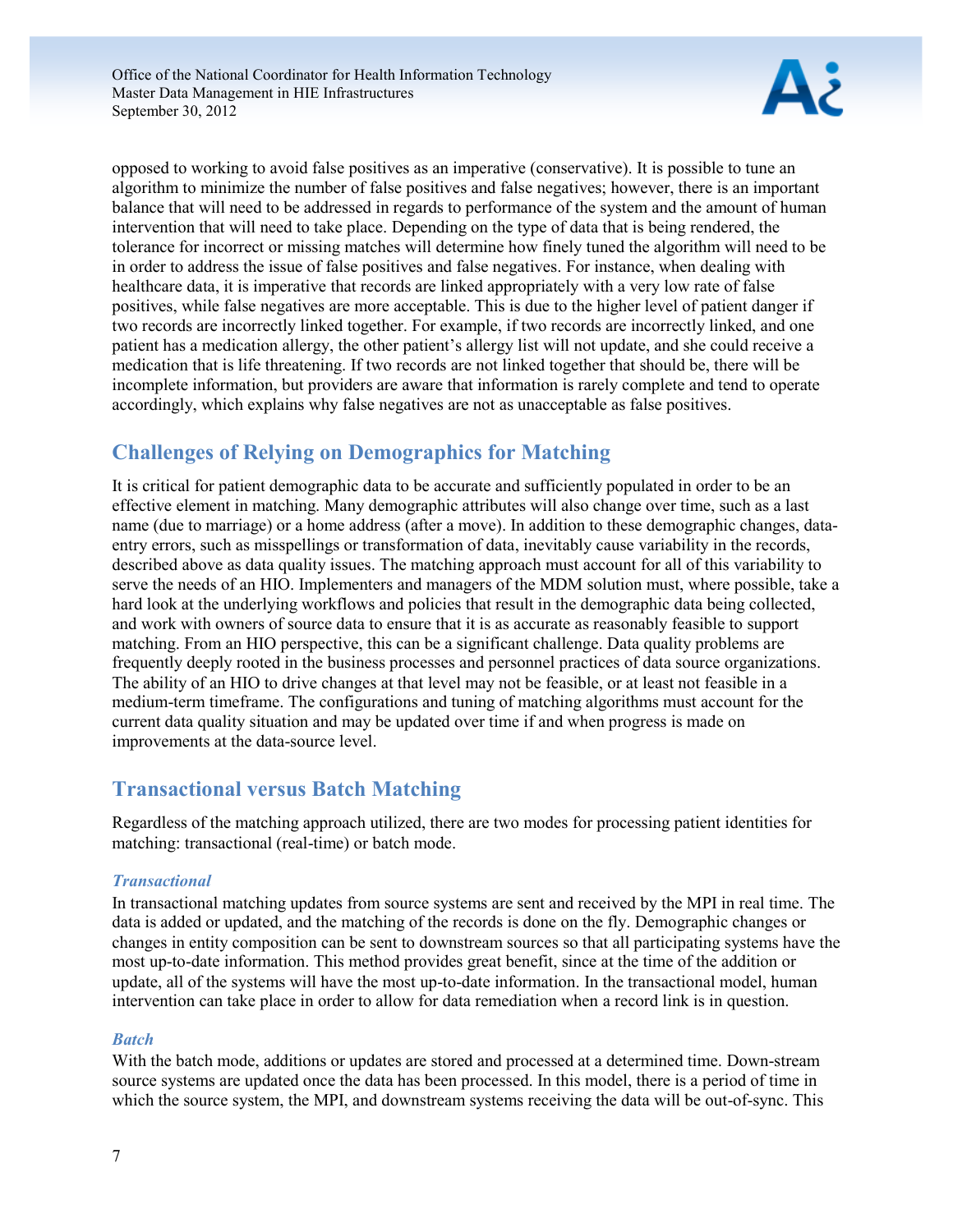

opposed to working to avoid false positives as an imperative (conservative). It is possible to tune an algorithm to minimize the number of false positives and false negatives; however, there is an important balance that will need to be addressed in regards to performance of the system and the amount of human intervention that will need to take place. Depending on the type of data that is being rendered, the tolerance for incorrect or missing matches will determine how finely tuned the algorithm will need to be in order to address the issue of false positives and false negatives. For instance, when dealing with healthcare data, it is imperative that records are linked appropriately with a very low rate of false positives, while false negatives are more acceptable. This is due to the higher level of patient danger if two records are incorrectly linked together. For example, if two records are incorrectly linked, and one patient has a medication allergy, the other patient's allergy list will not update, and she could receive a medication that is life threatening. If two records are not linked together that should be, there will be incomplete information, but providers are aware that information is rarely complete and tend to operate accordingly, which explains why false negatives are not as unacceptable as false positives.

## <span id="page-7-0"></span>**Challenges of Relying on Demographics for Matching**

It is critical for patient demographic data to be accurate and sufficiently populated in order to be an effective element in matching. Many demographic attributes will also change over time, such as a last name (due to marriage) or a home address (after a move). In addition to these demographic changes, dataentry errors, such as misspellings or transformation of data, inevitably cause variability in the records, described above as data quality issues. The matching approach must account for all of this variability to serve the needs of an HIO. Implementers and managers of the MDM solution must, where possible, take a hard look at the underlying workflows and policies that result in the demographic data being collected, and work with owners of source data to ensure that it is as accurate as reasonably feasible to support matching. From an HIO perspective, this can be a significant challenge. Data quality problems are frequently deeply rooted in the business processes and personnel practices of data source organizations. The ability of an HIO to drive changes at that level may not be feasible, or at least not feasible in a medium-term timeframe. The configurations and tuning of matching algorithms must account for the current data quality situation and may be updated over time if and when progress is made on improvements at the data-source level.

## <span id="page-7-1"></span>**Transactional versus Batch Matching**

Regardless of the matching approach utilized, there are two modes for processing patient identities for matching: transactional (real-time) or batch mode.

### *Transactional*

In transactional matching updates from source systems are sent and received by the MPI in real time. The data is added or updated, and the matching of the records is done on the fly. Demographic changes or changes in entity composition can be sent to downstream sources so that all participating systems have the most up-to-date information. This method provides great benefit, since at the time of the addition or update, all of the systems will have the most up-to-date information. In the transactional model, human intervention can take place in order to allow for data remediation when a record link is in question.

### *Batch*

With the batch mode, additions or updates are stored and processed at a determined time. Down-stream source systems are updated once the data has been processed. In this model, there is a period of time in which the source system, the MPI, and downstream systems receiving the data will be out-of-sync. This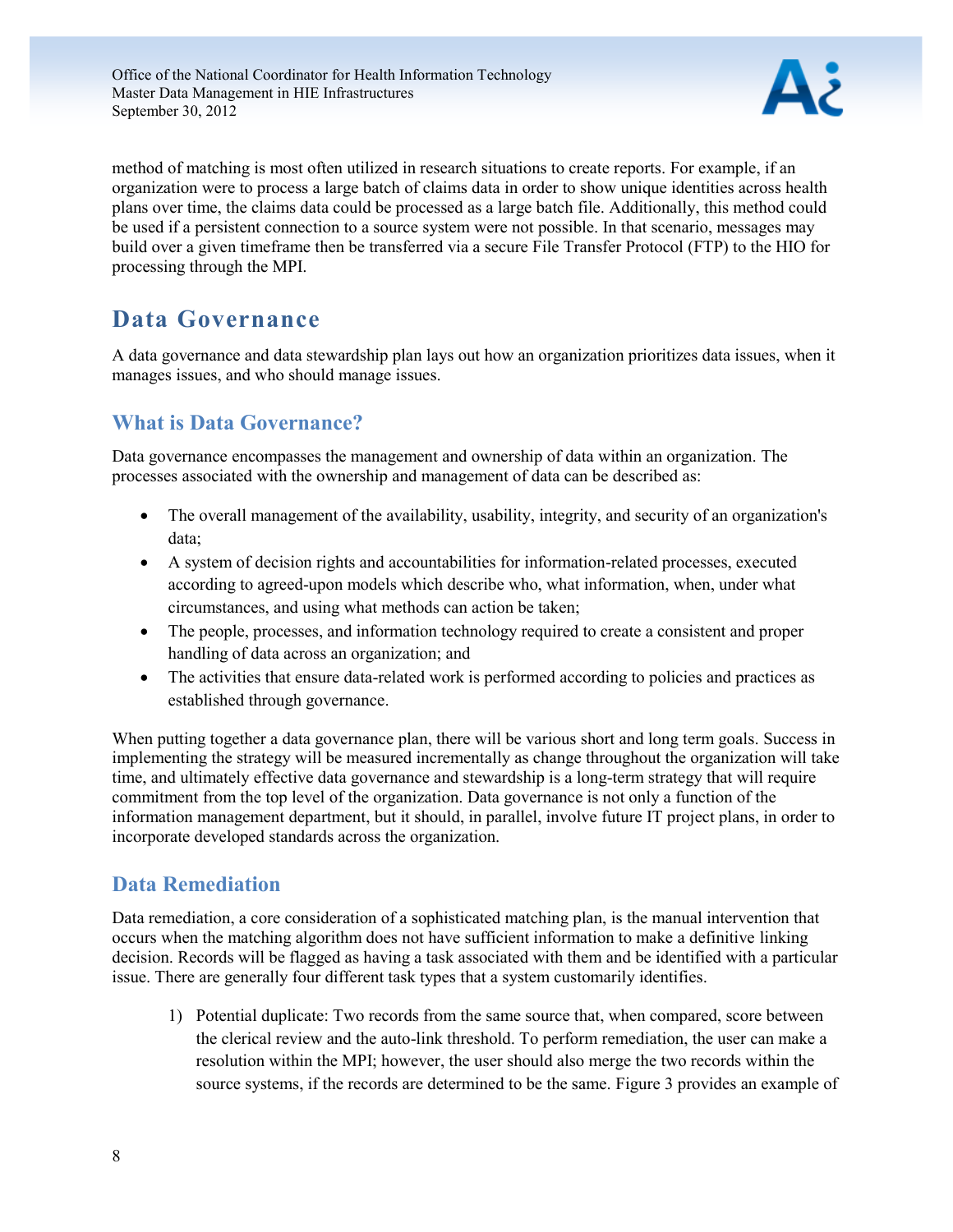

method of matching is most often utilized in research situations to create reports. For example, if an organization were to process a large batch of claims data in order to show unique identities across health plans over time, the claims data could be processed as a large batch file. Additionally, this method could be used if a persistent connection to a source system were not possible. In that scenario, messages may build over a given timeframe then be transferred via a secure File Transfer Protocol (FTP) to the HIO for processing through the MPI.

## <span id="page-8-0"></span>**Data Governance**

A data governance and data stewardship plan lays out how an organization prioritizes data issues, when it manages issues, and who should manage issues.

## <span id="page-8-1"></span>**What is Data Governance?**

Data governance encompasses the management and ownership of data within an organization. The processes associated with the ownership and management of data can be described as:

- The overall management of the availability, usability, integrity, and security of an organization's data;
- A system of decision rights and accountabilities for information-related processes, executed according to agreed-upon models which describe who, what information, when, under what circumstances, and using what methods can action be taken;
- The people, processes, and information technology required to create a consistent and proper handling of data across an organization; and
- The activities that ensure data-related work is performed according to policies and practices as established through governance.

When putting together a data governance plan, there will be various short and long term goals. Success in implementing the strategy will be measured incrementally as change throughout the organization will take time, and ultimately effective data governance and stewardship is a long-term strategy that will require commitment from the top level of the organization. Data governance is not only a function of the information management department, but it should, in parallel, involve future IT project plans, in order to incorporate developed standards across the organization.

## <span id="page-8-2"></span>**Data Remediation**

Data remediation, a core consideration of a sophisticated matching plan, is the manual intervention that occurs when the matching algorithm does not have sufficient information to make a definitive linking decision. Records will be flagged as having a task associated with them and be identified with a particular issue. There are generally four different task types that a system customarily identifies.

1) Potential duplicate: Two records from the same source that, when compared, score between the clerical review and the auto-link threshold. To perform remediation, the user can make a resolution within the MPI; however, the user should also merge the two records within the source systems, if the records are determined to be the same. Figure 3 provides an example of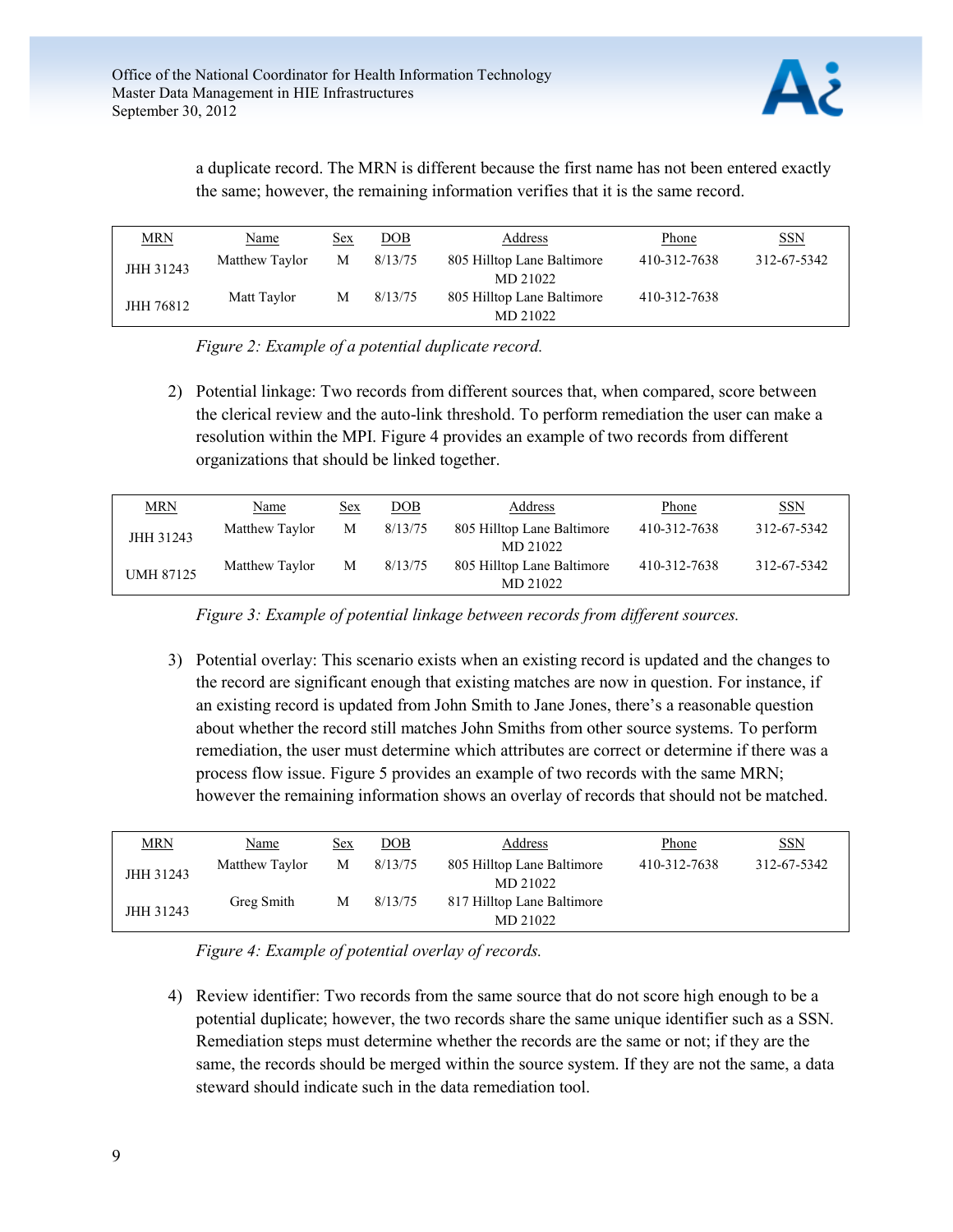

a duplicate record. The MRN is different because the first name has not been entered exactly the same; however, the remaining information verifies that it is the same record.

| <b>MRN</b> | <u>Name</u>    | <u>Sex</u> | DOB     | <b>Address</b>                         | <b>Phone</b> | <u>SSN</u>  |
|------------|----------------|------------|---------|----------------------------------------|--------------|-------------|
| JHH 31243  | Matthew Taylor | M          | 8/13/75 | 805 Hilltop Lane Baltimore<br>MD 21022 | 410-312-7638 | 312-67-5342 |
| JHH 76812  | Matt Taylor    | М          | 8/13/75 | 805 Hilltop Lane Baltimore<br>MD 21022 | 410-312-7638 |             |

*Figure 2: Example of a potential duplicate record.* 

2) Potential linkage: Two records from different sources that, when compared, score between the clerical review and the auto-link threshold. To perform remediation the user can make a resolution within the MPI. Figure 4 provides an example of two records from different organizations that should be linked together.

| <b>MRN</b>       | <b>Name</b>    | <u>Sex</u> | <u>DOB</u> | Address                                | Phone        | <b>SSN</b>  |
|------------------|----------------|------------|------------|----------------------------------------|--------------|-------------|
| JHH 31243        | Matthew Taylor | М          | 8/13/75    | 805 Hilltop Lane Baltimore<br>MD 21022 | 410-312-7638 | 312-67-5342 |
| <b>UMH 87125</b> | Matthew Taylor | М          | 8/13/75    | 805 Hilltop Lane Baltimore<br>MD 21022 | 410-312-7638 | 312-67-5342 |

*Figure 3: Example of potential linkage between records from different sources.* 

3) Potential overlay: This scenario exists when an existing record is updated and the changes to the record are significant enough that existing matches are now in question. For instance, if an existing record is updated from John Smith to Jane Jones, there's a reasonable question about whether the record still matches John Smiths from other source systems. To perform remediation, the user must determine which attributes are correct or determine if there was a process flow issue. Figure 5 provides an example of two records with the same MRN; however the remaining information shows an overlay of records that should not be matched.

| <b>MRN</b> | Name           | Sex | DOB     | Address                                | Phone        | <b>SSN</b>  |
|------------|----------------|-----|---------|----------------------------------------|--------------|-------------|
| JHH 31243  | Matthew Taylor | M   | 8/13/75 | 805 Hilltop Lane Baltimore<br>MD 21022 | 410-312-7638 | 312-67-5342 |
| JHH 31243  | Greg Smith     | M   | 8/13/75 | 817 Hilltop Lane Baltimore<br>MD 21022 |              |             |

*Figure 4: Example of potential overlay of records.*

4) Review identifier: Two records from the same source that do not score high enough to be a potential duplicate; however, the two records share the same unique identifier such as a SSN. Remediation steps must determine whether the records are the same or not; if they are the same, the records should be merged within the source system. If they are not the same, a data steward should indicate such in the data remediation tool.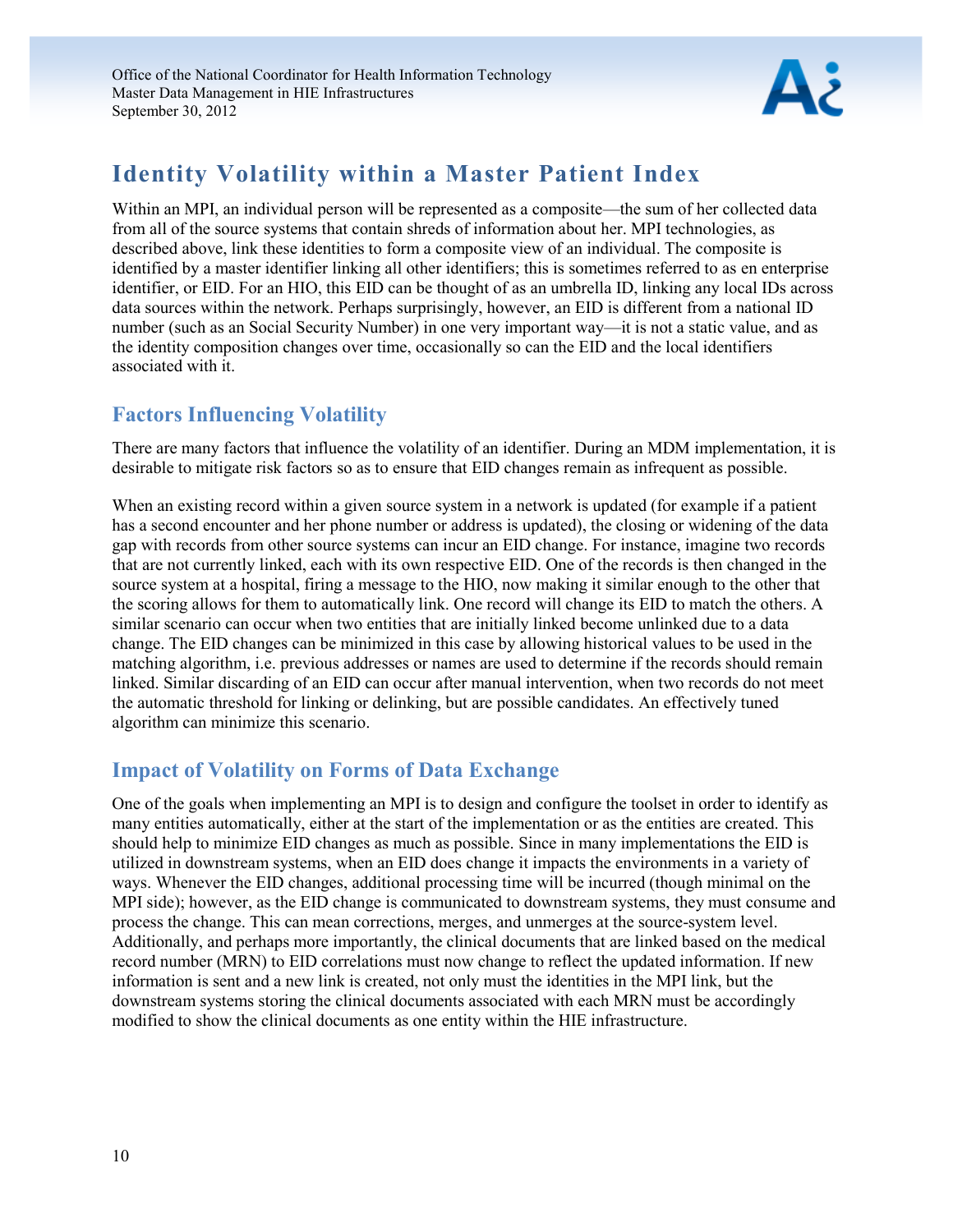

## <span id="page-10-0"></span>**Identity Volatility within a Master Patient Index**

Within an MPI, an individual person will be represented as a composite—the sum of her collected data from all of the source systems that contain shreds of information about her. MPI technologies, as described above, link these identities to form a composite view of an individual. The composite is identified by a master identifier linking all other identifiers; this is sometimes referred to as en enterprise identifier, or EID. For an HIO, this EID can be thought of as an umbrella ID, linking any local IDs across data sources within the network. Perhaps surprisingly, however, an EID is different from a national ID number (such as an Social Security Number) in one very important way—it is not a static value, and as the identity composition changes over time, occasionally so can the EID and the local identifiers associated with it.

## <span id="page-10-1"></span>**Factors Influencing Volatility**

There are many factors that influence the volatility of an identifier. During an MDM implementation, it is desirable to mitigate risk factors so as to ensure that EID changes remain as infrequent as possible.

When an existing record within a given source system in a network is updated (for example if a patient has a second encounter and her phone number or address is updated), the closing or widening of the data gap with records from other source systems can incur an EID change. For instance, imagine two records that are not currently linked, each with its own respective EID. One of the records is then changed in the source system at a hospital, firing a message to the HIO, now making it similar enough to the other that the scoring allows for them to automatically link. One record will change its EID to match the others. A similar scenario can occur when two entities that are initially linked become unlinked due to a data change. The EID changes can be minimized in this case by allowing historical values to be used in the matching algorithm, i.e. previous addresses or names are used to determine if the records should remain linked. Similar discarding of an EID can occur after manual intervention, when two records do not meet the automatic threshold for linking or delinking, but are possible candidates. An effectively tuned algorithm can minimize this scenario.

## <span id="page-10-2"></span>**Impact of Volatility on Forms of Data Exchange**

<span id="page-10-3"></span>One of the goals when implementing an MPI is to design and configure the toolset in order to identify as many entities automatically, either at the start of the implementation or as the entities are created. This should help to minimize EID changes as much as possible. Since in many implementations the EID is utilized in downstream systems, when an EID does change it impacts the environments in a variety of ways. Whenever the EID changes, additional processing time will be incurred (though minimal on the MPI side); however, as the EID change is communicated to downstream systems, they must consume and process the change. This can mean corrections, merges, and unmerges at the source-system level. Additionally, and perhaps more importantly, the clinical documents that are linked based on the medical record number (MRN) to EID correlations must now change to reflect the updated information. If new information is sent and a new link is created, not only must the identities in the MPI link, but the downstream systems storing the clinical documents associated with each MRN must be accordingly modified to show the clinical documents as one entity within the HIE infrastructure.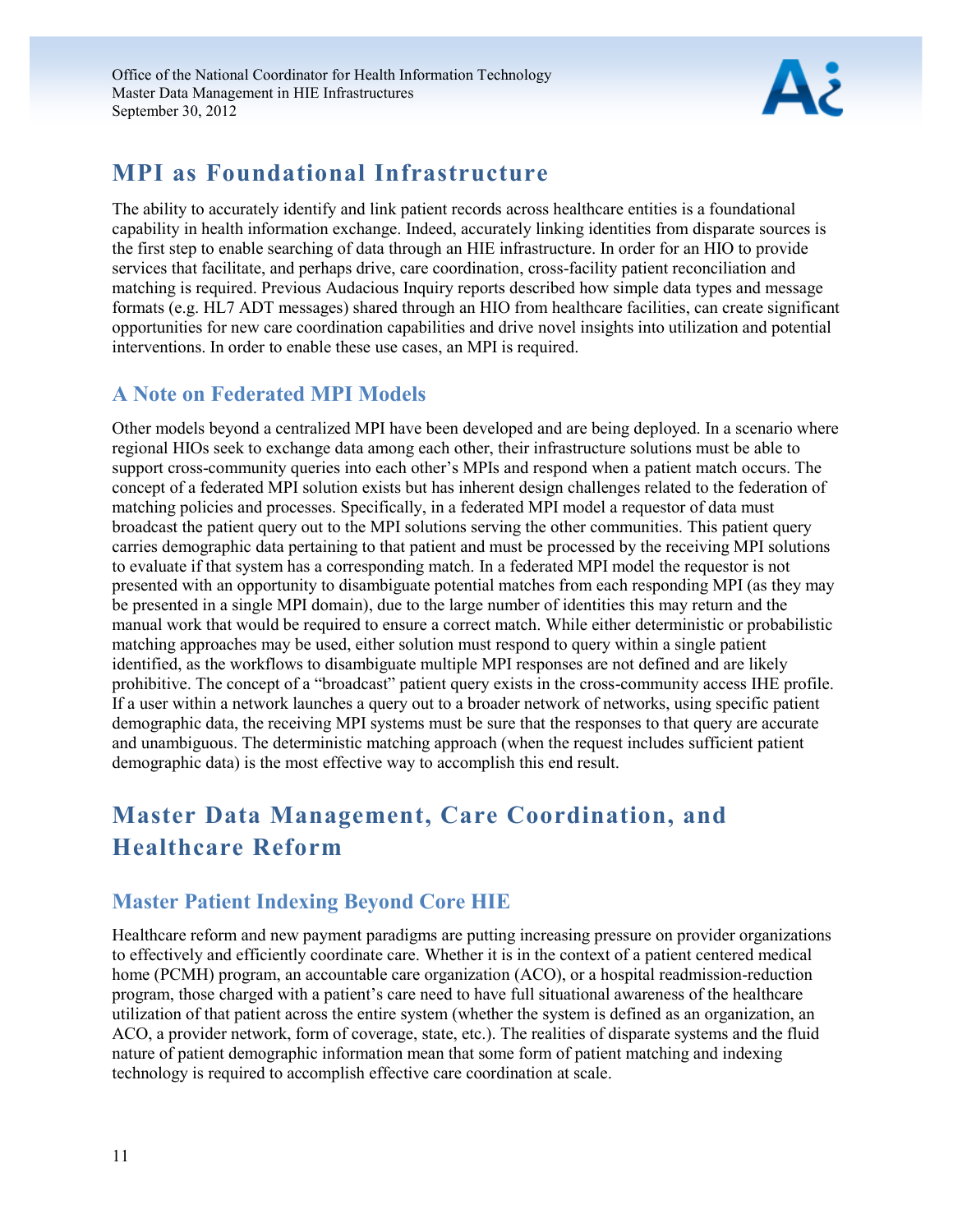

## **MPI as Foundational Infrastructure**

The ability to accurately identify and link patient records across healthcare entities is a foundational capability in health information exchange. Indeed, accurately linking identities from disparate sources is the first step to enable searching of data through an HIE infrastructure. In order for an HIO to provide services that facilitate, and perhaps drive, care coordination, cross-facility patient reconciliation and matching is required. Previous Audacious Inquiry reports described how simple data types and message formats (e.g. HL7 ADT messages) shared through an HIO from healthcare facilities, can create significant opportunities for new care coordination capabilities and drive novel insights into utilization and potential interventions. In order to enable these use cases, an MPI is required.

## <span id="page-11-0"></span>**A Note on Federated MPI Models**

Other models beyond a centralized MPI have been developed and are being deployed. In a scenario where regional HIOs seek to exchange data among each other, their infrastructure solutions must be able to support cross-community queries into each other's MPIs and respond when a patient match occurs. The concept of a federated MPI solution exists but has inherent design challenges related to the federation of matching policies and processes. Specifically, in a federated MPI model a requestor of data must broadcast the patient query out to the MPI solutions serving the other communities. This patient query carries demographic data pertaining to that patient and must be processed by the receiving MPI solutions to evaluate if that system has a corresponding match. In a federated MPI model the requestor is not presented with an opportunity to disambiguate potential matches from each responding MPI (as they may be presented in a single MPI domain), due to the large number of identities this may return and the manual work that would be required to ensure a correct match. While either deterministic or probabilistic matching approaches may be used, either solution must respond to query within a single patient identified, as the workflows to disambiguate multiple MPI responses are not defined and are likely prohibitive. The concept of a "broadcast" patient query exists in the cross-community access IHE profile. If a user within a network launches a query out to a broader network of networks, using specific patient demographic data, the receiving MPI systems must be sure that the responses to that query are accurate and unambiguous. The deterministic matching approach (when the request includes sufficient patient demographic data) is the most effective way to accomplish this end result.

## <span id="page-11-1"></span>**Master Data Management, Care Coordination, and Healthcare Reform**

## <span id="page-11-2"></span>**Master Patient Indexing Beyond Core HIE**

Healthcare reform and new payment paradigms are putting increasing pressure on provider organizations to effectively and efficiently coordinate care. Whether it is in the context of a patient centered medical home (PCMH) program, an accountable care organization (ACO), or a hospital readmission-reduction program, those charged with a patient's care need to have full situational awareness of the healthcare utilization of that patient across the entire system (whether the system is defined as an organization, an ACO, a provider network, form of coverage, state, etc.). The realities of disparate systems and the fluid nature of patient demographic information mean that some form of patient matching and indexing technology is required to accomplish effective care coordination at scale.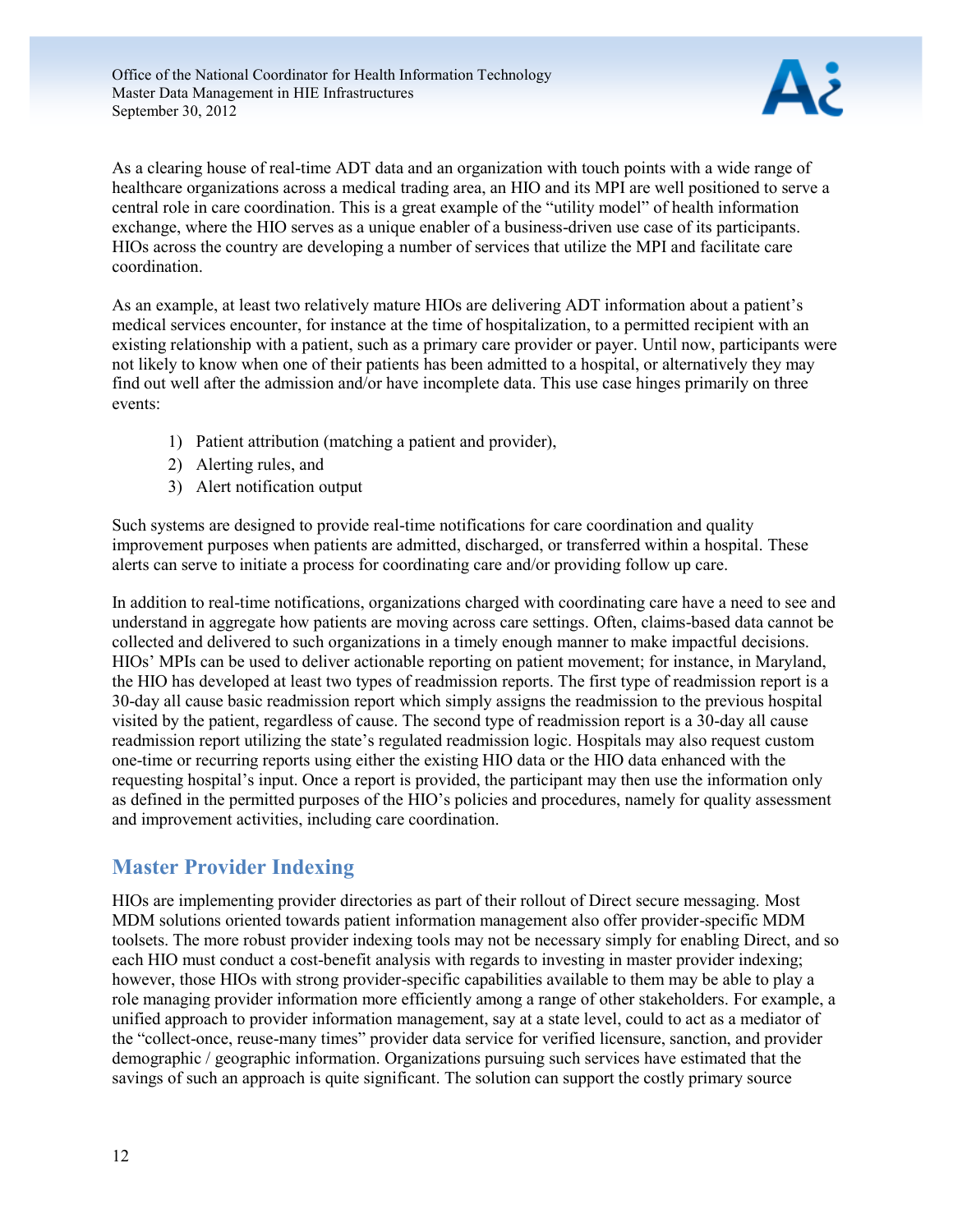

As a clearing house of real-time ADT data and an organization with touch points with a wide range of healthcare organizations across a medical trading area, an HIO and its MPI are well positioned to serve a central role in care coordination. This is a great example of the "utility model" of health information exchange, where the HIO serves as a unique enabler of a business-driven use case of its participants. HIOs across the country are developing a number of services that utilize the MPI and facilitate care coordination.

As an example, at least two relatively mature HIOs are delivering ADT information about a patient's medical services encounter, for instance at the time of hospitalization, to a permitted recipient with an existing relationship with a patient, such as a primary care provider or payer. Until now, participants were not likely to know when one of their patients has been admitted to a hospital, or alternatively they may find out well after the admission and/or have incomplete data. This use case hinges primarily on three events:

- 1) Patient attribution (matching a patient and provider),
- 2) Alerting rules, and
- 3) Alert notification output

Such systems are designed to provide real-time notifications for care coordination and quality improvement purposes when patients are admitted, discharged, or transferred within a hospital. These alerts can serve to initiate a process for coordinating care and/or providing follow up care.

In addition to real-time notifications, organizations charged with coordinating care have a need to see and understand in aggregate how patients are moving across care settings. Often, claims-based data cannot be collected and delivered to such organizations in a timely enough manner to make impactful decisions. HIOs' MPIs can be used to deliver actionable reporting on patient movement; for instance, in Maryland, the HIO has developed at least two types of readmission reports. The first type of readmission report is a 30-day all cause basic readmission report which simply assigns the readmission to the previous hospital visited by the patient, regardless of cause. The second type of readmission report is a 30-day all cause readmission report utilizing the state's regulated readmission logic. Hospitals may also request custom one-time or recurring reports using either the existing HIO data or the HIO data enhanced with the requesting hospital's input. Once a report is provided, the participant may then use the information only as defined in the permitted purposes of the HIO's policies and procedures, namely for quality assessment and improvement activities, including care coordination.

## <span id="page-12-0"></span>**Master Provider Indexing**

HIOs are implementing provider directories as part of their rollout of Direct secure messaging. Most MDM solutions oriented towards patient information management also offer provider-specific MDM toolsets. The more robust provider indexing tools may not be necessary simply for enabling Direct, and so each HIO must conduct a cost-benefit analysis with regards to investing in master provider indexing; however, those HIOs with strong provider-specific capabilities available to them may be able to play a role managing provider information more efficiently among a range of other stakeholders. For example, a unified approach to provider information management, say at a state level, could to act as a mediator of the "collect-once, reuse-many times" provider data service for verified licensure, sanction, and provider demographic / geographic information. Organizations pursuing such services have estimated that the savings of such an approach is quite significant. The solution can support the costly primary source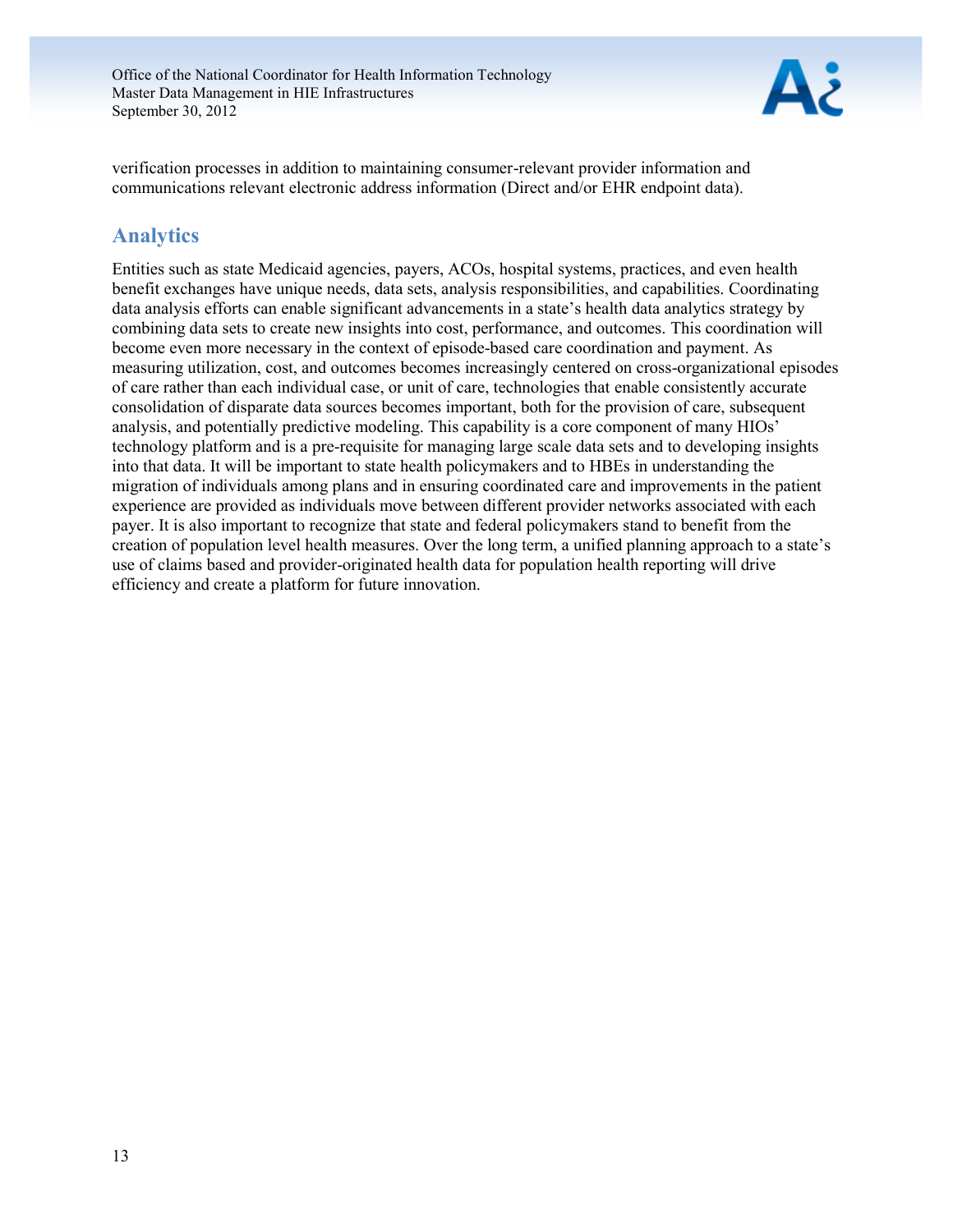

verification processes in addition to maintaining consumer-relevant provider information and communications relevant electronic address information (Direct and/or EHR endpoint data).

### <span id="page-13-0"></span>**Analytics**

Entities such as state Medicaid agencies, payers, ACOs, hospital systems, practices, and even health benefit exchanges have unique needs, data sets, analysis responsibilities, and capabilities. Coordinating data analysis efforts can enable significant advancements in a state's health data analytics strategy by combining data sets to create new insights into cost, performance, and outcomes. This coordination will become even more necessary in the context of episode-based care coordination and payment. As measuring utilization, cost, and outcomes becomes increasingly centered on cross-organizational episodes of care rather than each individual case, or unit of care, technologies that enable consistently accurate consolidation of disparate data sources becomes important, both for the provision of care, subsequent analysis, and potentially predictive modeling. This capability is a core component of many HIOs' technology platform and is a pre-requisite for managing large scale data sets and to developing insights into that data. It will be important to state health policymakers and to HBEs in understanding the migration of individuals among plans and in ensuring coordinated care and improvements in the patient experience are provided as individuals move between different provider networks associated with each payer. It is also important to recognize that state and federal policymakers stand to benefit from the creation of population level health measures. Over the long term, a unified planning approach to a state's use of claims based and provider-originated health data for population health reporting will drive efficiency and create a platform for future innovation.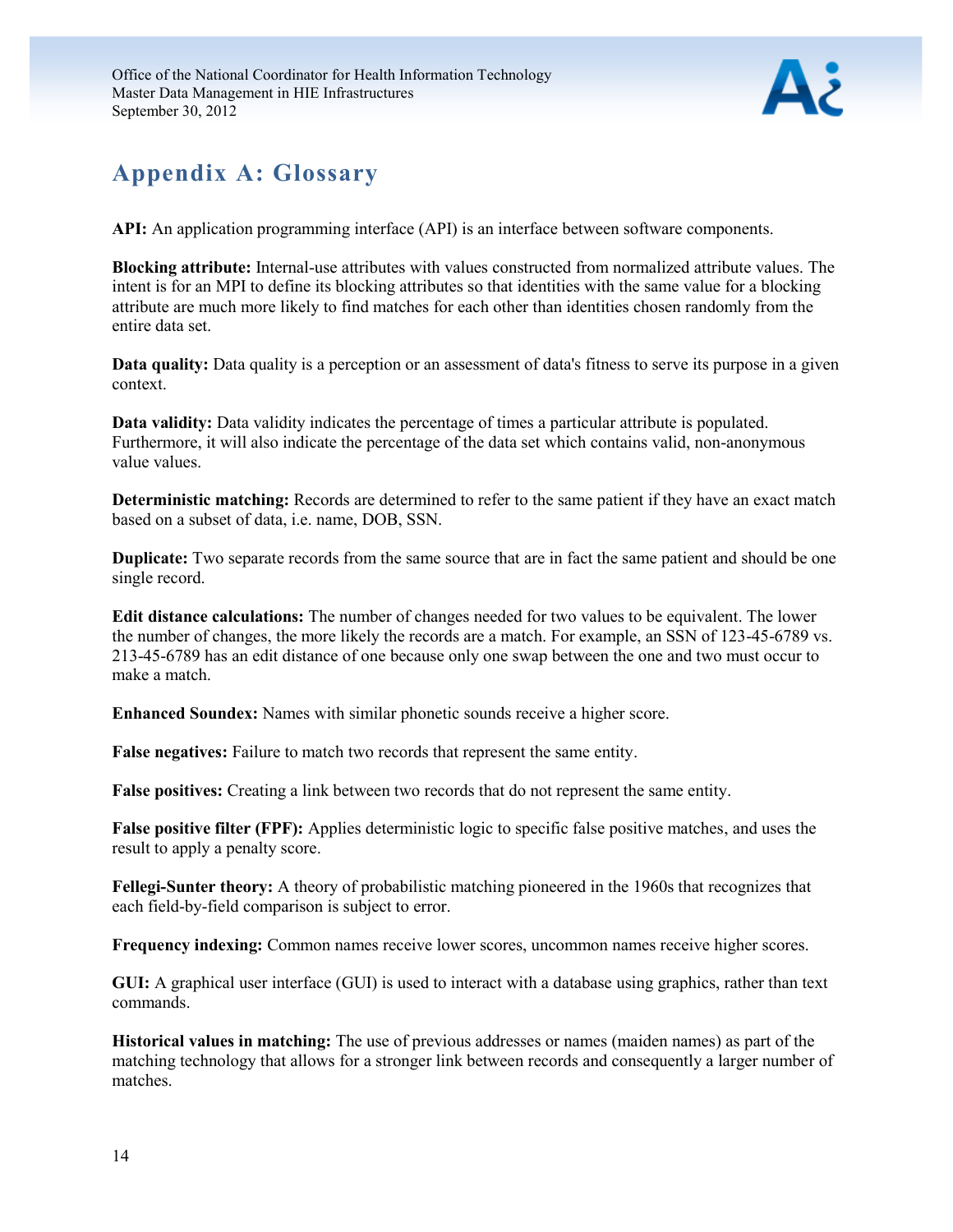

## <span id="page-14-0"></span>**Appendix A: Glossary**

**API:** An application programming interface (API) is an interface between software components.

**Blocking attribute:** Internal-use attributes with values constructed from normalized attribute values. The intent is for an MPI to define its blocking attributes so that identities with the same value for a blocking attribute are much more likely to find matches for each other than identities chosen randomly from the entire data set.

**Data quality:** Data quality is a perception or an assessment of data's fitness to serve its purpose in a given context.

**Data validity:** Data validity indicates the percentage of times a particular attribute is populated. Furthermore, it will also indicate the percentage of the data set which contains valid, non-anonymous value values.

**Deterministic matching:** Records are determined to refer to the same patient if they have an exact match based on a subset of data, i.e. name, DOB, SSN.

**Duplicate:** Two separate records from the same source that are in fact the same patient and should be one single record.

**Edit distance calculations:** The number of changes needed for two values to be equivalent. The lower the number of changes, the more likely the records are a match. For example, an SSN of 123-45-6789 vs. 213-45-6789 has an edit distance of one because only one swap between the one and two must occur to make a match.

**Enhanced Soundex:** Names with similar phonetic sounds receive a higher score.

**False negatives:** Failure to match two records that represent the same entity.

**False positives:** Creating a link between two records that do not represent the same entity.

**False positive filter (FPF):** Applies deterministic logic to specific false positive matches, and uses the result to apply a penalty score.

**Fellegi-Sunter theory:** A theory of probabilistic matching pioneered in the 1960s that recognizes that each field-by-field comparison is subject to error.

**Frequency indexing:** Common names receive lower scores, uncommon names receive higher scores.

**GUI:** A graphical user interface (GUI) is used to interact with a database using graphics, rather than text commands.

**Historical values in matching:** The use of previous addresses or names (maiden names) as part of the matching technology that allows for a stronger link between records and consequently a larger number of matches.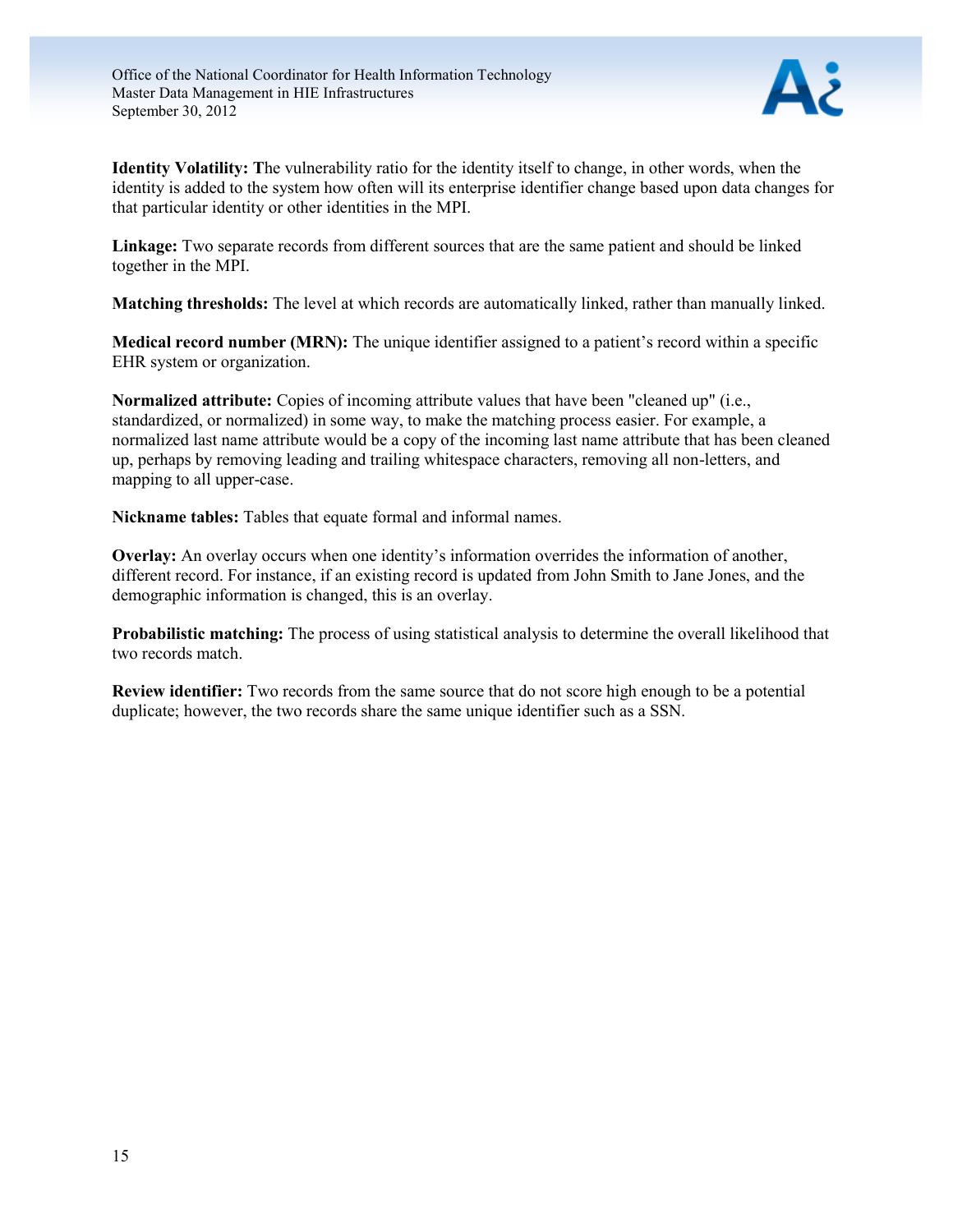

**Identity Volatility: T**he vulnerability ratio for the identity itself to change, in other words, when the identity is added to the system how often will its enterprise identifier change based upon data changes for that particular identity or other identities in the MPI.

**Linkage:** Two separate records from different sources that are the same patient and should be linked together in the MPI.

**Matching thresholds:** The level at which records are automatically linked, rather than manually linked.

**Medical record number (MRN):** The unique identifier assigned to a patient's record within a specific EHR system or organization.

**Normalized attribute:** Copies of incoming attribute values that have been "cleaned up" (i.e., standardized, or normalized) in some way, to make the matching process easier. For example, a normalized last name attribute would be a copy of the incoming last name attribute that has been cleaned up, perhaps by removing leading and trailing whitespace characters, removing all non-letters, and mapping to all upper-case.

**Nickname tables:** Tables that equate formal and informal names.

**Overlay:** An overlay occurs when one identity's information overrides the information of another, different record. For instance, if an existing record is updated from John Smith to Jane Jones, and the demographic information is changed, this is an overlay.

**Probabilistic matching:** The process of using statistical analysis to determine the overall likelihood that two records match.

**Review identifier:** Two records from the same source that do not score high enough to be a potential duplicate; however, the two records share the same unique identifier such as a SSN.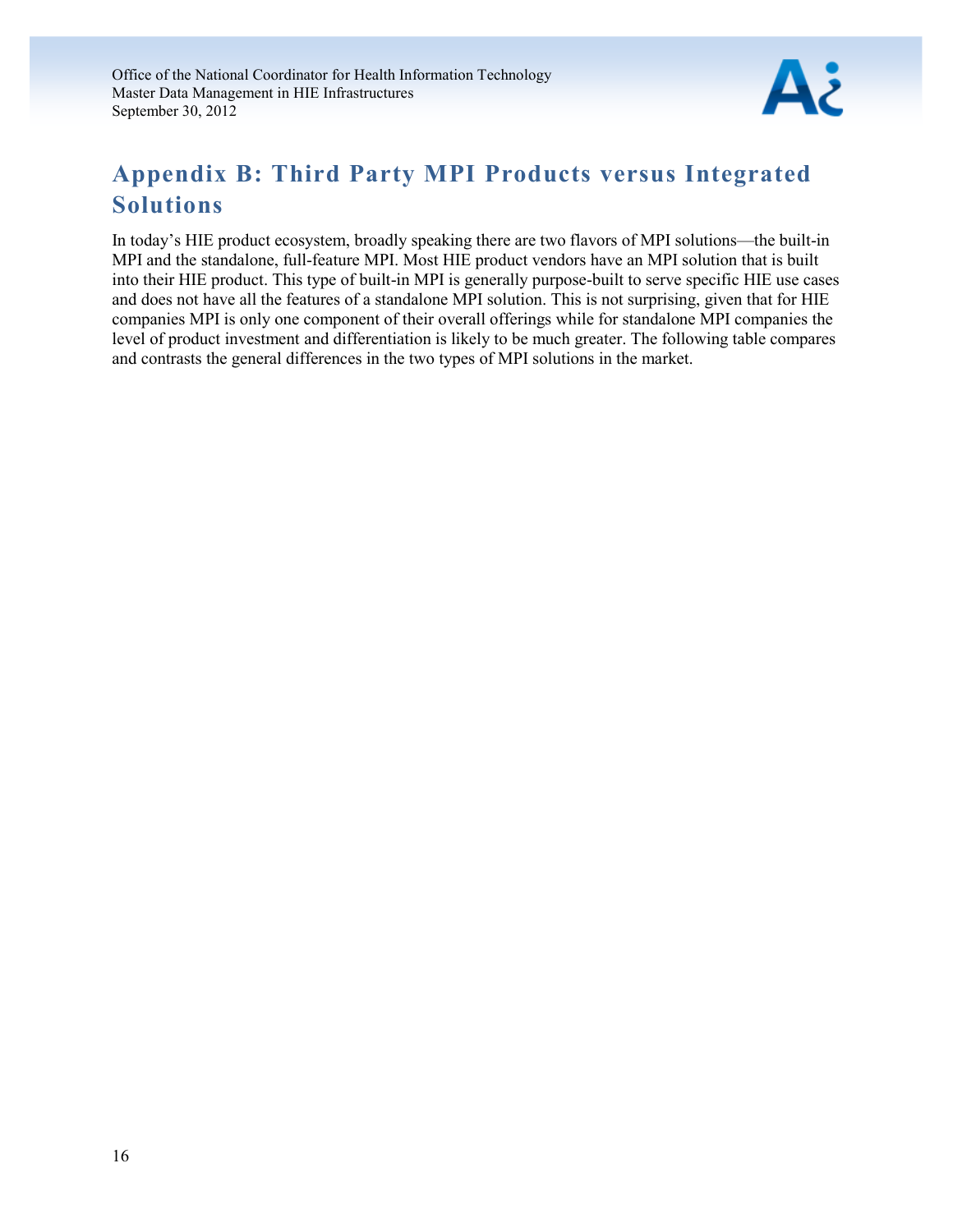

## <span id="page-16-0"></span>**Appendix B: Third Party MPI Products versus Integrated Solutions**

In today's HIE product ecosystem, broadly speaking there are two flavors of MPI solutions—the built-in MPI and the standalone, full-feature MPI. Most HIE product vendors have an MPI solution that is built into their HIE product. This type of built-in MPI is generally purpose-built to serve specific HIE use cases and does not have all the features of a standalone MPI solution. This is not surprising, given that for HIE companies MPI is only one component of their overall offerings while for standalone MPI companies the level of product investment and differentiation is likely to be much greater. The following table compares and contrasts the general differences in the two types of MPI solutions in the market.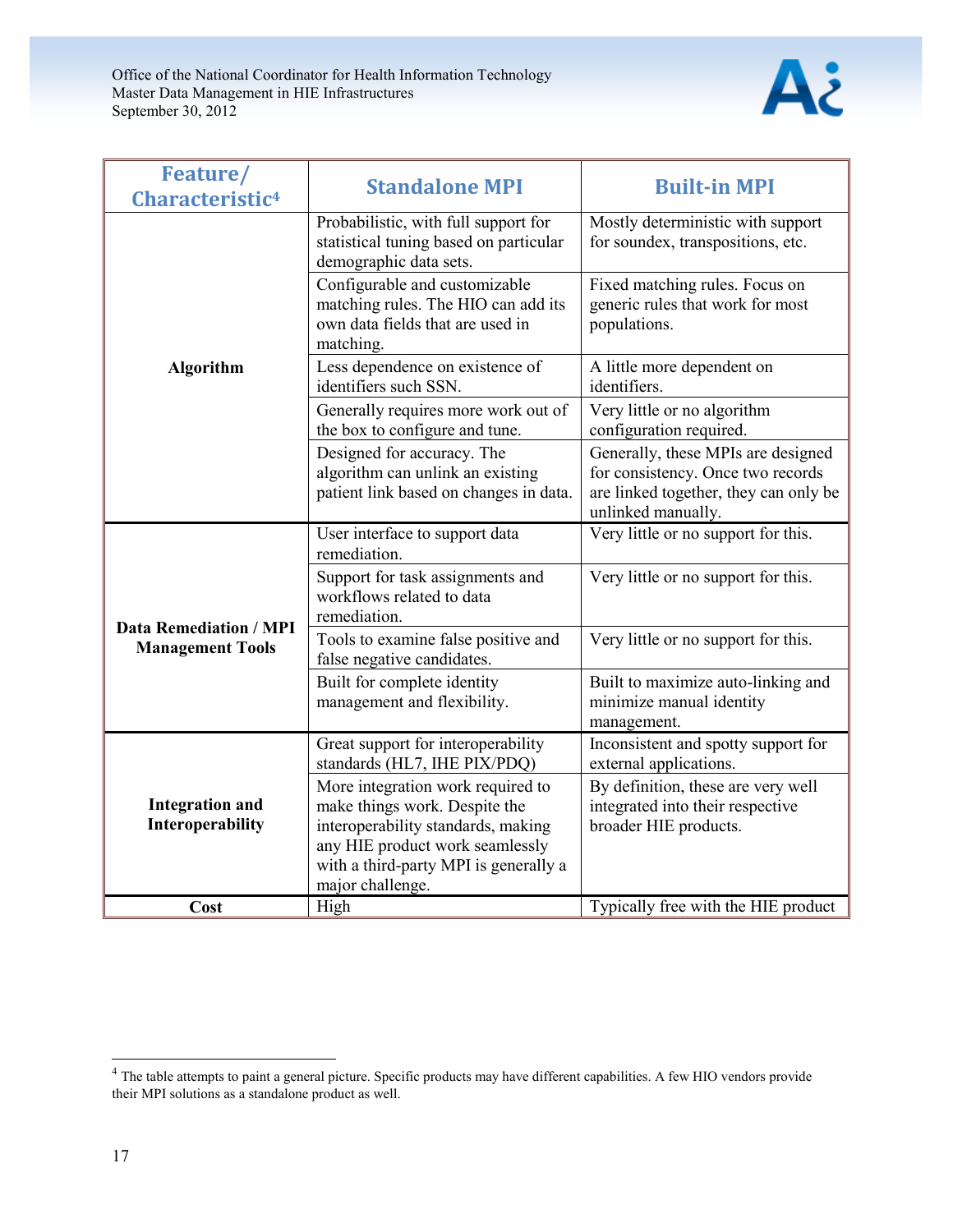

| Feature/<br>Characteristic <sup>4</sup>                  | <b>Standalone MPI</b>                                                                                                                                                                                    | <b>Built-in MPI</b>                                                                                                                    |  |
|----------------------------------------------------------|----------------------------------------------------------------------------------------------------------------------------------------------------------------------------------------------------------|----------------------------------------------------------------------------------------------------------------------------------------|--|
|                                                          | Probabilistic, with full support for<br>statistical tuning based on particular<br>demographic data sets.                                                                                                 | Mostly deterministic with support<br>for soundex, transpositions, etc.                                                                 |  |
|                                                          | Configurable and customizable<br>matching rules. The HIO can add its<br>own data fields that are used in<br>matching.                                                                                    | Fixed matching rules. Focus on<br>generic rules that work for most<br>populations.                                                     |  |
| <b>Algorithm</b>                                         | Less dependence on existence of<br>identifiers such SSN.                                                                                                                                                 | A little more dependent on<br>identifiers.                                                                                             |  |
|                                                          | Generally requires more work out of<br>the box to configure and tune.                                                                                                                                    | Very little or no algorithm<br>configuration required.                                                                                 |  |
|                                                          | Designed for accuracy. The<br>algorithm can unlink an existing<br>patient link based on changes in data.                                                                                                 | Generally, these MPIs are designed<br>for consistency. Once two records<br>are linked together, they can only be<br>unlinked manually. |  |
|                                                          | User interface to support data<br>remediation.                                                                                                                                                           | Very little or no support for this.                                                                                                    |  |
|                                                          | Support for task assignments and<br>workflows related to data<br>remediation.                                                                                                                            | Very little or no support for this.                                                                                                    |  |
| <b>Data Remediation / MPI</b><br><b>Management Tools</b> | Tools to examine false positive and<br>false negative candidates.                                                                                                                                        | Very little or no support for this.                                                                                                    |  |
|                                                          | Built for complete identity<br>management and flexibility.                                                                                                                                               | Built to maximize auto-linking and<br>minimize manual identity<br>management.                                                          |  |
|                                                          | Great support for interoperability<br>standards (HL7, IHE PIX/PDQ)                                                                                                                                       | Inconsistent and spotty support for<br>external applications.                                                                          |  |
| <b>Integration and</b><br>Interoperability               | More integration work required to<br>make things work. Despite the<br>interoperability standards, making<br>any HIE product work seamlessly<br>with a third-party MPI is generally a<br>major challenge. | By definition, these are very well<br>integrated into their respective<br>broader HIE products.                                        |  |
| Cost                                                     | High                                                                                                                                                                                                     | Typically free with the HIE product                                                                                                    |  |

<sup>&</sup>lt;sup>4</sup> The table attempts to paint a general picture. Specific products may have different capabilities. A few HIO vendors provide their MPI solutions as a standalone product as well.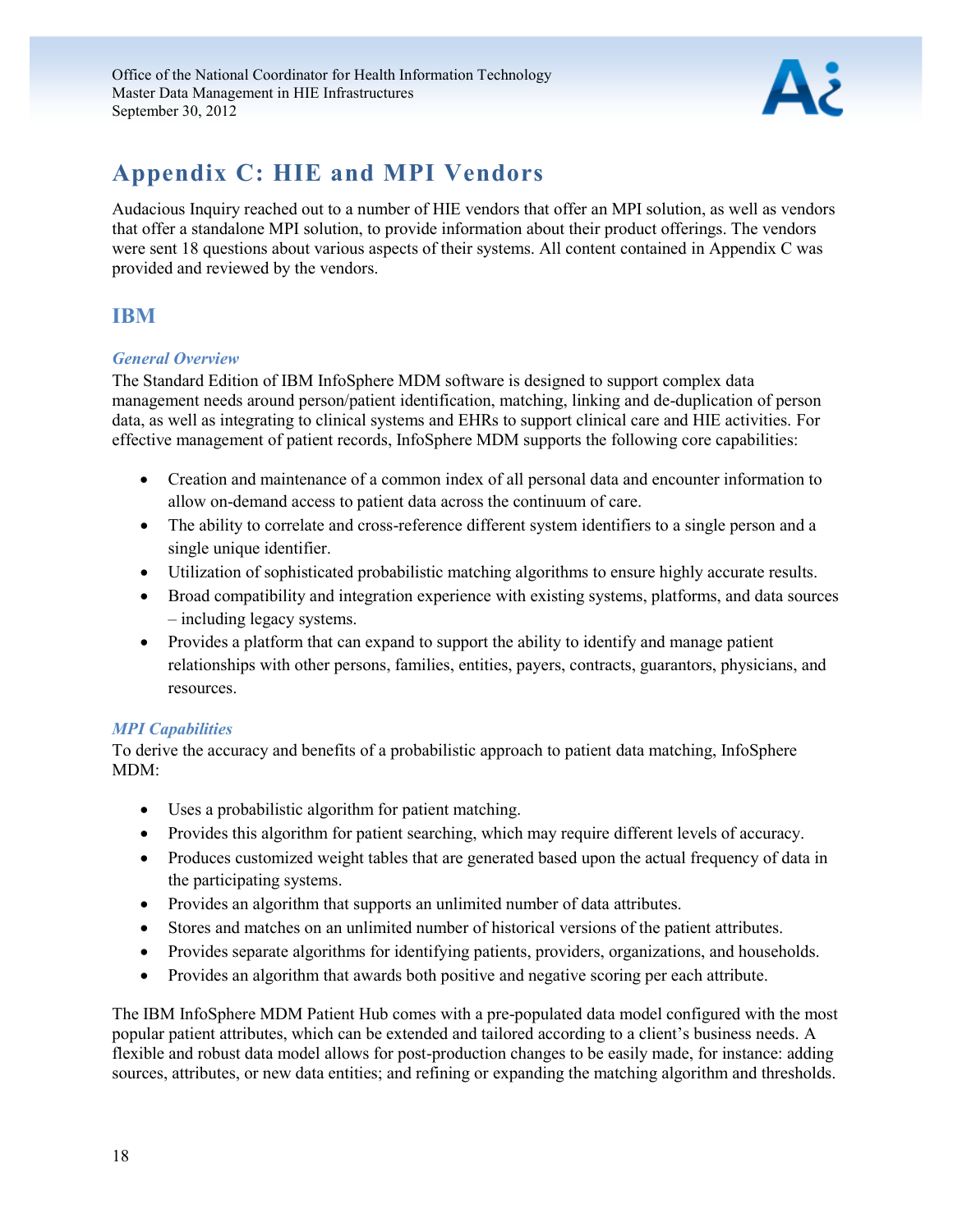

## <span id="page-18-0"></span>**Appendix C: HIE and MPI Vendors**

Audacious Inquiry reached out to a number of HIE vendors that offer an MPI solution, as well as vendors that offer a standalone MPI solution, to provide information about their product offerings. The vendors were sent 18 questions about various aspects of their systems. All content contained in Appendix C was provided and reviewed by the vendors.

## <span id="page-18-1"></span>**IBM**

### *General Overview*

The Standard Edition of IBM InfoSphere MDM software is designed to support complex data management needs around person/patient identification, matching, linking and de-duplication of person data, as well as integrating to clinical systems and EHRs to support clinical care and HIE activities. For effective management of patient records, InfoSphere MDM supports the following core capabilities:

- Creation and maintenance of a common index of all personal data and encounter information to allow on-demand access to patient data across the continuum of care.
- The ability to correlate and cross-reference different system identifiers to a single person and a single unique identifier.
- Utilization of sophisticated probabilistic matching algorithms to ensure highly accurate results.
- Broad compatibility and integration experience with existing systems, platforms, and data sources – including legacy systems.
- Provides a platform that can expand to support the ability to identify and manage patient relationships with other persons, families, entities, payers, contracts, guarantors, physicians, and resources.

### *MPI Capabilities*

To derive the accuracy and benefits of a probabilistic approach to patient data matching, InfoSphere MDM:

- Uses a probabilistic algorithm for patient matching.
- Provides this algorithm for patient searching, which may require different levels of accuracy.
- Produces customized weight tables that are generated based upon the actual frequency of data in the participating systems.
- Provides an algorithm that supports an unlimited number of data attributes.
- Stores and matches on an unlimited number of historical versions of the patient attributes.
- Provides separate algorithms for identifying patients, providers, organizations, and households.
- Provides an algorithm that awards both positive and negative scoring per each attribute.

The IBM InfoSphere MDM Patient Hub comes with a pre-populated data model configured with the most popular patient attributes, which can be extended and tailored according to a client's business needs. A flexible and robust data model allows for post-production changes to be easily made, for instance: adding sources, attributes, or new data entities; and refining or expanding the matching algorithm and thresholds.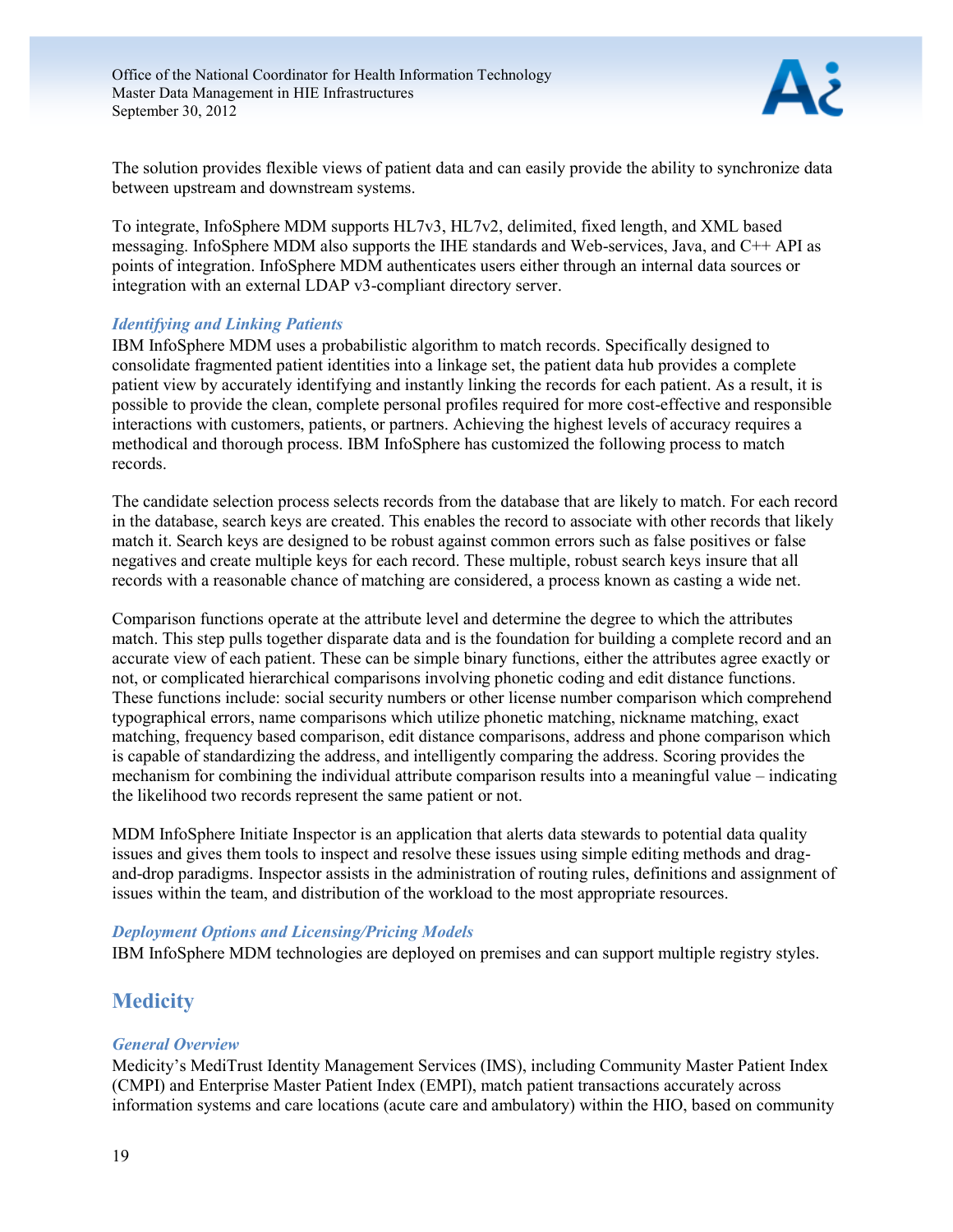

The solution provides flexible views of patient data and can easily provide the ability to synchronize data between upstream and downstream systems.

To integrate, InfoSphere MDM supports HL7v3, HL7v2, delimited, fixed length, and XML based messaging. InfoSphere MDM also supports the IHE standards and Web-services, Java, and C++ API as points of integration. InfoSphere MDM authenticates users either through an internal data sources or integration with an external LDAP v3-compliant directory server.

#### *Identifying and Linking Patients*

IBM InfoSphere MDM uses a probabilistic algorithm to match records. Specifically designed to consolidate fragmented patient identities into a linkage set, the patient data hub provides a complete patient view by accurately identifying and instantly linking the records for each patient. As a result, it is possible to provide the clean, complete personal profiles required for more cost-effective and responsible interactions with customers, patients, or partners. Achieving the highest levels of accuracy requires a methodical and thorough process. IBM InfoSphere has customized the following process to match records.

The candidate selection process selects records from the database that are likely to match. For each record in the database, search keys are created. This enables the record to associate with other records that likely match it. Search keys are designed to be robust against common errors such as false positives or false negatives and create multiple keys for each record. These multiple, robust search keys insure that all records with a reasonable chance of matching are considered, a process known as casting a wide net.

Comparison functions operate at the attribute level and determine the degree to which the attributes match. This step pulls together disparate data and is the foundation for building a complete record and an accurate view of each patient. These can be simple binary functions, either the attributes agree exactly or not, or complicated hierarchical comparisons involving phonetic coding and edit distance functions. These functions include: social security numbers or other license number comparison which comprehend typographical errors, name comparisons which utilize phonetic matching, nickname matching, exact matching, frequency based comparison, edit distance comparisons, address and phone comparison which is capable of standardizing the address, and intelligently comparing the address. Scoring provides the mechanism for combining the individual attribute comparison results into a meaningful value – indicating the likelihood two records represent the same patient or not.

MDM InfoSphere Initiate Inspector is an application that alerts data stewards to potential data quality issues and gives them tools to inspect and resolve these issues using simple editing methods and dragand-drop paradigms. Inspector assists in the administration of routing rules, definitions and assignment of issues within the team, and distribution of the workload to the most appropriate resources.

#### *Deployment Options and Licensing/Pricing Models*

IBM InfoSphere MDM technologies are deployed on premises and can support multiple registry styles.

### <span id="page-19-0"></span>**Medicity**

#### *General Overview*

Medicity's MediTrust Identity Management Services (IMS), including Community Master Patient Index (CMPI) and Enterprise Master Patient Index (EMPI), match patient transactions accurately across information systems and care locations (acute care and ambulatory) within the HIO, based on community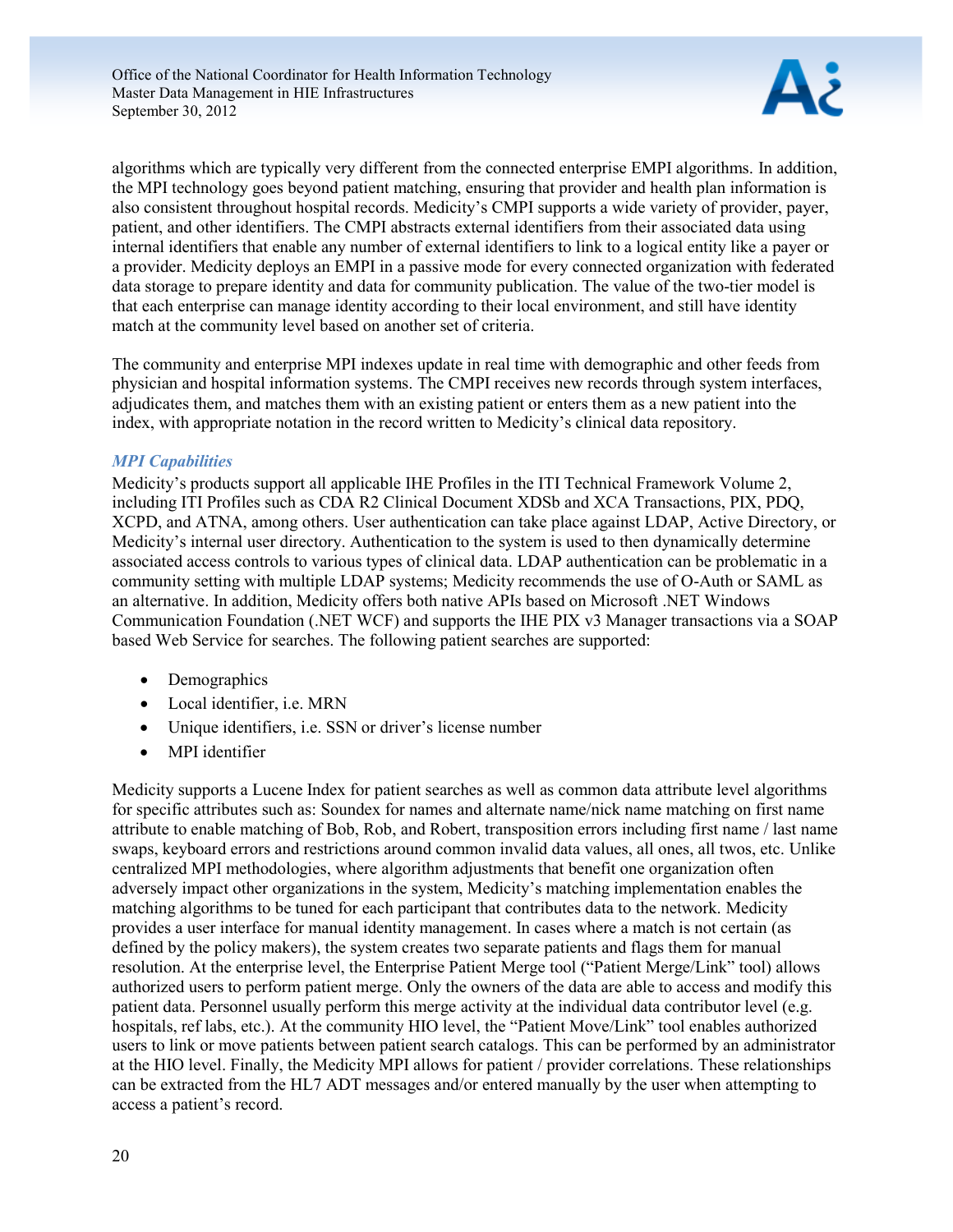

algorithms which are typically very different from the connected enterprise EMPI algorithms. In addition, the MPI technology goes beyond patient matching, ensuring that provider and health plan information is also consistent throughout hospital records. Medicity's CMPI supports a wide variety of provider, payer, patient, and other identifiers. The CMPI abstracts external identifiers from their associated data using internal identifiers that enable any number of external identifiers to link to a logical entity like a payer or a provider. Medicity deploys an EMPI in a passive mode for every connected organization with federated data storage to prepare identity and data for community publication. The value of the two-tier model is that each enterprise can manage identity according to their local environment, and still have identity match at the community level based on another set of criteria.

The community and enterprise MPI indexes update in real time with demographic and other feeds from physician and hospital information systems. The CMPI receives new records through system interfaces, adjudicates them, and matches them with an existing patient or enters them as a new patient into the index, with appropriate notation in the record written to Medicity's clinical data repository.

#### *MPI Capabilities*

Medicity's products support all applicable IHE Profiles in the ITI Technical Framework Volume 2, including ITI Profiles such as CDA R2 Clinical Document XDSb and XCA Transactions, PIX, PDQ, XCPD, and ATNA, among others. User authentication can take place against LDAP, Active Directory, or Medicity's internal user directory. Authentication to the system is used to then dynamically determine associated access controls to various types of clinical data. LDAP authentication can be problematic in a community setting with multiple LDAP systems; Medicity recommends the use of O-Auth or SAML as an alternative. In addition, Medicity offers both native APIs based on Microsoft .NET Windows Communication Foundation (.NET WCF) and supports the IHE PIX v3 Manager transactions via a SOAP based Web Service for searches. The following patient searches are supported:

- Demographics
- Local identifier, i.e. MRN
- Unique identifiers, i.e. SSN or driver's license number
- MPI identifier

Medicity supports a Lucene Index for patient searches as well as common data attribute level algorithms for specific attributes such as: Soundex for names and alternate name/nick name matching on first name attribute to enable matching of Bob, Rob, and Robert, transposition errors including first name / last name swaps, keyboard errors and restrictions around common invalid data values, all ones, all twos, etc. Unlike centralized MPI methodologies, where algorithm adjustments that benefit one organization often adversely impact other organizations in the system, Medicity's matching implementation enables the matching algorithms to be tuned for each participant that contributes data to the network. Medicity provides a user interface for manual identity management. In cases where a match is not certain (as defined by the policy makers), the system creates two separate patients and flags them for manual resolution. At the enterprise level, the Enterprise Patient Merge tool ("Patient Merge/Link" tool) allows authorized users to perform patient merge. Only the owners of the data are able to access and modify this patient data. Personnel usually perform this merge activity at the individual data contributor level (e.g. hospitals, ref labs, etc.). At the community HIO level, the "Patient Move/Link" tool enables authorized users to link or move patients between patient search catalogs. This can be performed by an administrator at the HIO level. Finally, the Medicity MPI allows for patient / provider correlations. These relationships can be extracted from the HL7 ADT messages and/or entered manually by the user when attempting to access a patient's record.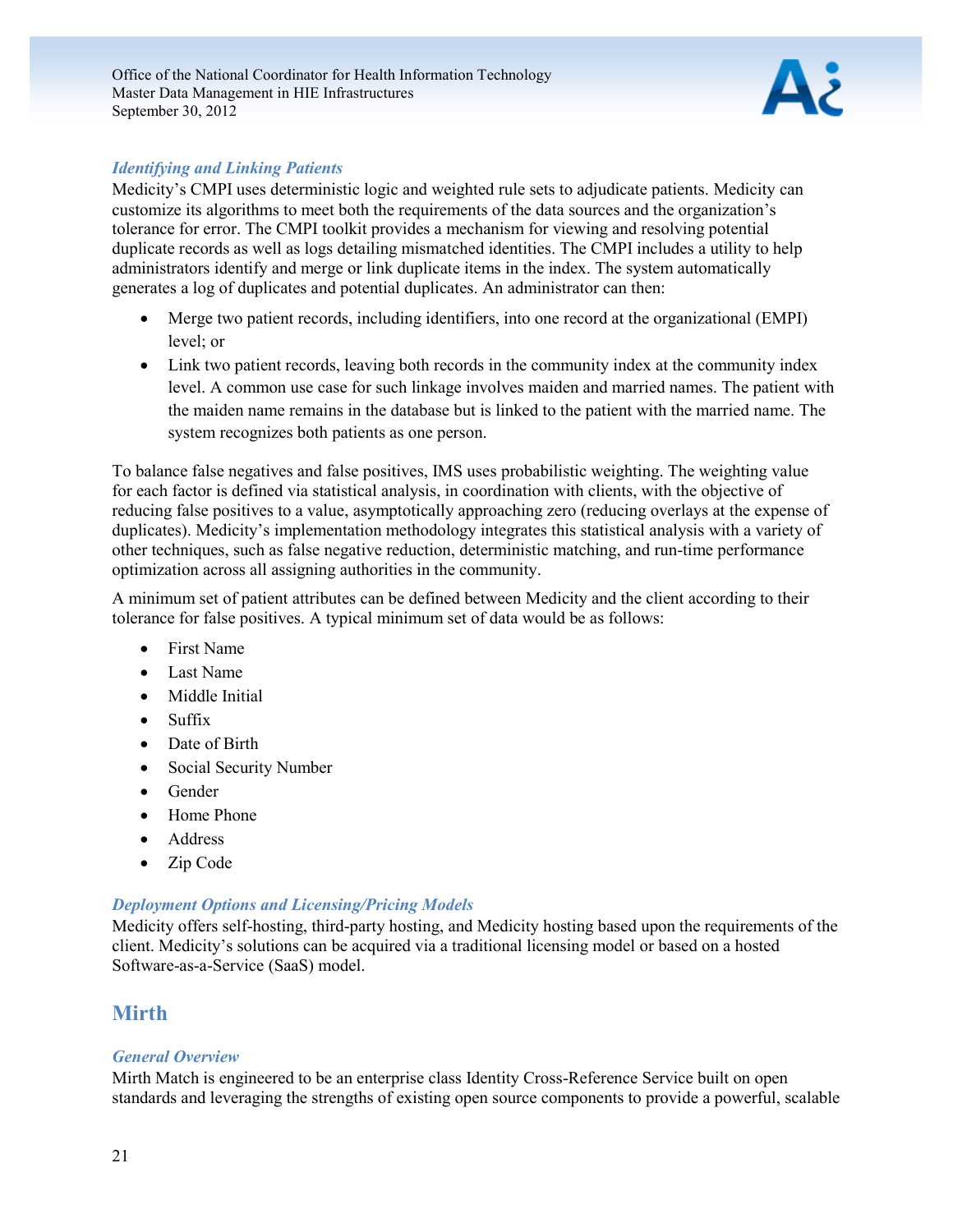

#### *Identifying and Linking Patients*

Medicity's CMPI uses deterministic logic and weighted rule sets to adjudicate patients. Medicity can customize its algorithms to meet both the requirements of the data sources and the organization's tolerance for error. The CMPI toolkit provides a mechanism for viewing and resolving potential duplicate records as well as logs detailing mismatched identities. The CMPI includes a utility to help administrators identify and merge or link duplicate items in the index. The system automatically generates a log of duplicates and potential duplicates. An administrator can then:

- Merge two patient records, including identifiers, into one record at the organizational (EMPI) level; or
- Link two patient records, leaving both records in the community index at the community index level. A common use case for such linkage involves maiden and married names. The patient with the maiden name remains in the database but is linked to the patient with the married name. The system recognizes both patients as one person.

To balance false negatives and false positives, IMS uses probabilistic weighting. The weighting value for each factor is defined via statistical analysis, in coordination with clients, with the objective of reducing false positives to a value, asymptotically approaching zero (reducing overlays at the expense of duplicates). Medicity's implementation methodology integrates this statistical analysis with a variety of other techniques, such as false negative reduction, deterministic matching, and run-time performance optimization across all assigning authorities in the community.

A minimum set of patient attributes can be defined between Medicity and the client according to their tolerance for false positives. A typical minimum set of data would be as follows:

- First Name
- Last Name
- Middle Initial
- Suffix
- Date of Birth
- Social Security Number
- Gender
- Home Phone
- Address
- Zip Code

#### *Deployment Options and Licensing/Pricing Models*

Medicity offers self-hosting, third-party hosting, and Medicity hosting based upon the requirements of the client. Medicity's solutions can be acquired via a traditional licensing model or based on a hosted Software-as-a-Service (SaaS) model.

### <span id="page-21-0"></span>**Mirth**

#### *General Overview*

Mirth Match is engineered to be an enterprise class Identity Cross-Reference Service built on open standards and leveraging the strengths of existing open source components to provide a powerful, scalable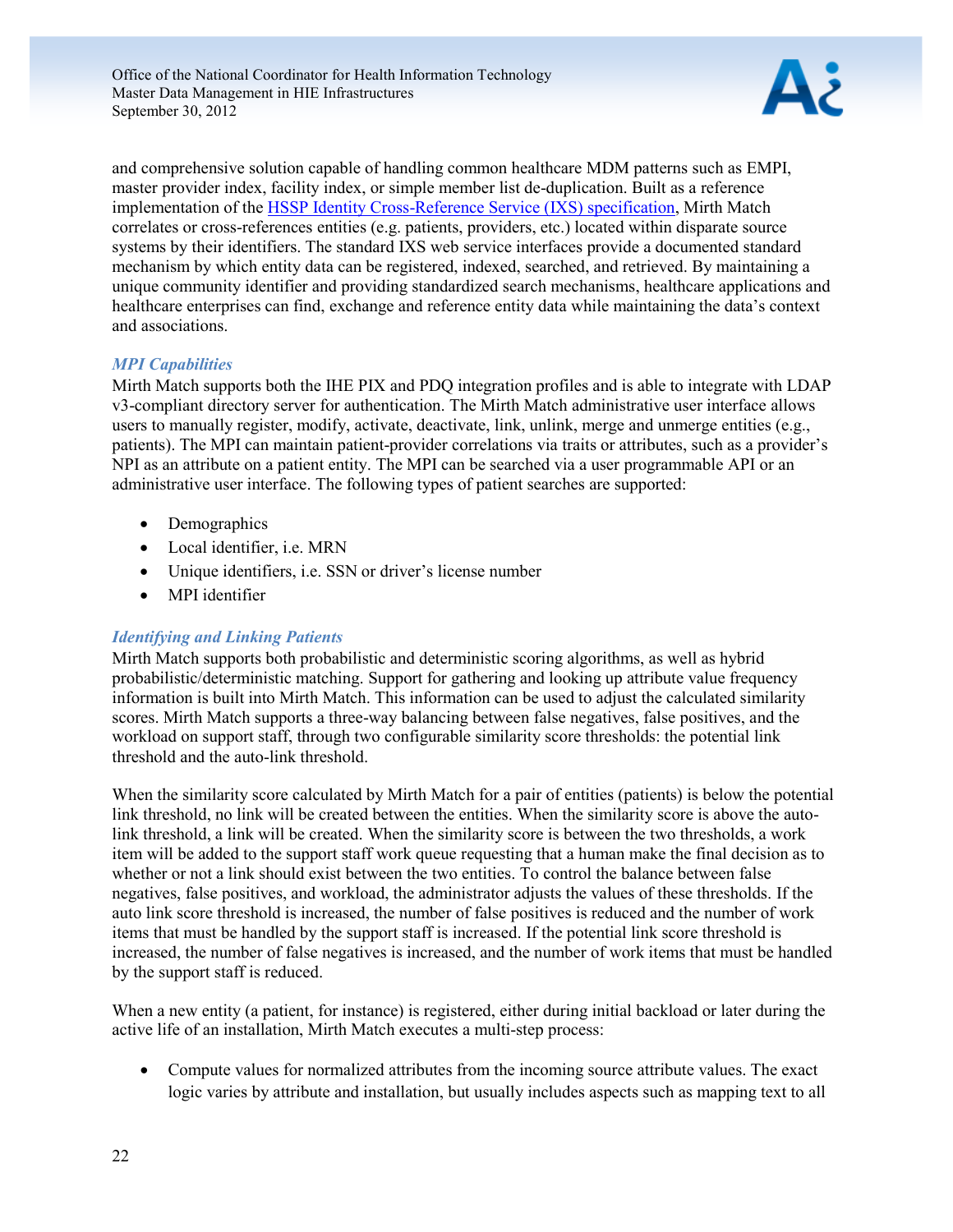

and comprehensive solution capable of handling common healthcare MDM patterns such as EMPI, master provider index, facility index, or simple member list de-duplication. Built as a reference implementation of the [HSSP Identity Cross-Reference Service \(IXS\) specification,](http://hssp.wikispaces.com/about) Mirth Match correlates or cross-references entities (e.g. patients, providers, etc.) located within disparate source systems by their identifiers. The standard IXS web service interfaces provide a documented standard mechanism by which entity data can be registered, indexed, searched, and retrieved. By maintaining a unique community identifier and providing standardized search mechanisms, healthcare applications and healthcare enterprises can find, exchange and reference entity data while maintaining the data's context and associations.

#### *MPI Capabilities*

Mirth Match supports both the IHE PIX and PDQ integration profiles and is able to integrate with LDAP v3-compliant directory server for authentication. The Mirth Match administrative user interface allows users to manually register, modify, activate, deactivate, link, unlink, merge and unmerge entities (e.g., patients). The MPI can maintain patient-provider correlations via traits or attributes, such as a provider's NPI as an attribute on a patient entity. The MPI can be searched via a user programmable API or an administrative user interface. The following types of patient searches are supported:

- Demographics
- Local identifier, i.e. MRN
- Unique identifiers, i.e. SSN or driver's license number
- MPI identifier

### *Identifying and Linking Patients*

Mirth Match supports both probabilistic and deterministic scoring algorithms, as well as hybrid probabilistic/deterministic matching. Support for gathering and looking up attribute value frequency information is built into Mirth Match. This information can be used to adjust the calculated similarity scores. Mirth Match supports a three-way balancing between false negatives, false positives, and the workload on support staff, through two configurable similarity score thresholds: the potential link threshold and the auto-link threshold.

When the similarity score calculated by Mirth Match for a pair of entities (patients) is below the potential link threshold, no link will be created between the entities. When the similarity score is above the autolink threshold, a link will be created. When the similarity score is between the two thresholds, a work item will be added to the support staff work queue requesting that a human make the final decision as to whether or not a link should exist between the two entities. To control the balance between false negatives, false positives, and workload, the administrator adjusts the values of these thresholds. If the auto link score threshold is increased, the number of false positives is reduced and the number of work items that must be handled by the support staff is increased. If the potential link score threshold is increased, the number of false negatives is increased, and the number of work items that must be handled by the support staff is reduced.

When a new entity (a patient, for instance) is registered, either during initial backload or later during the active life of an installation, Mirth Match executes a multi-step process:

 Compute values for normalized attributes from the incoming source attribute values. The exact logic varies by attribute and installation, but usually includes aspects such as mapping text to all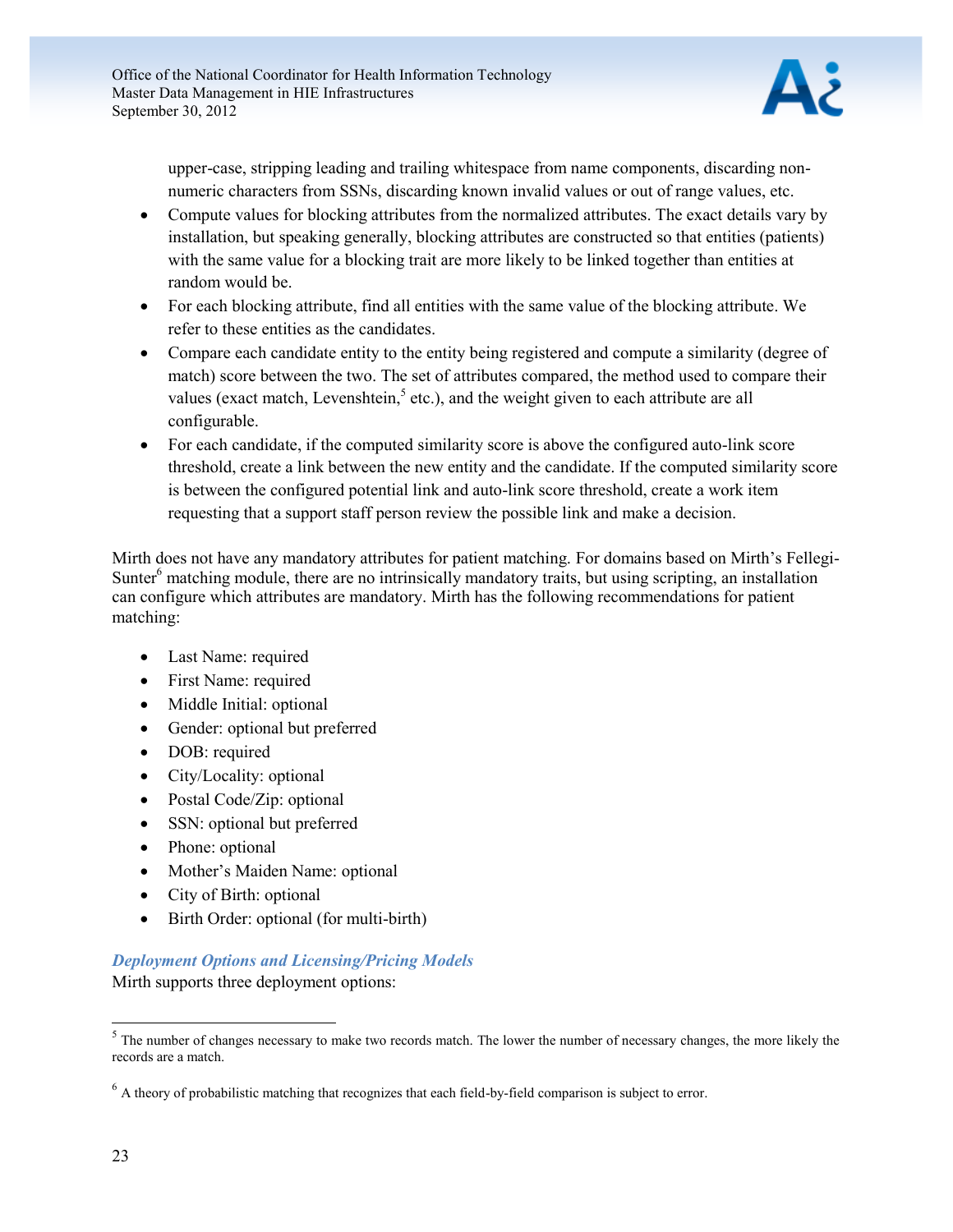

upper-case, stripping leading and trailing whitespace from name components, discarding nonnumeric characters from SSNs, discarding known invalid values or out of range values, etc.

- Compute values for blocking attributes from the normalized attributes. The exact details vary by installation, but speaking generally, blocking attributes are constructed so that entities (patients) with the same value for a blocking trait are more likely to be linked together than entities at random would be.
- For each blocking attribute, find all entities with the same value of the blocking attribute. We refer to these entities as the candidates.
- Compare each candidate entity to the entity being registered and compute a similarity (degree of match) score between the two. The set of attributes compared, the method used to compare their values (exact match, Levenshtein, $5$  etc.), and the weight given to each attribute are all configurable.
- For each candidate, if the computed similarity score is above the configured auto-link score threshold, create a link between the new entity and the candidate. If the computed similarity score is between the configured potential link and auto-link score threshold, create a work item requesting that a support staff person review the possible link and make a decision.

Mirth does not have any mandatory attributes for patient matching. For domains based on Mirth's Fellegi-Sunter<sup>6</sup> matching module, there are no intrinsically mandatory traits, but using scripting, an installation can configure which attributes are mandatory. Mirth has the following recommendations for patient matching:

- Last Name: required
- First Name: required
- Middle Initial: optional
- Gender: optional but preferred
- DOB: required
- City/Locality: optional
- Postal Code/Zip: optional
- SSN: optional but preferred
- Phone: optional
- Mother's Maiden Name: optional
- City of Birth: optional
- Birth Order: optional (for multi-birth)

### *Deployment Options and Licensing/Pricing Models*

Mirth supports three deployment options:

 $\overline{a}$ 

 $<sup>5</sup>$  The number of changes necessary to make two records match. The lower the number of necessary changes, the more likely the</sup> records are a match.

<sup>&</sup>lt;sup>6</sup> A theory of probabilistic matching that recognizes that each field-by-field comparison is subject to error.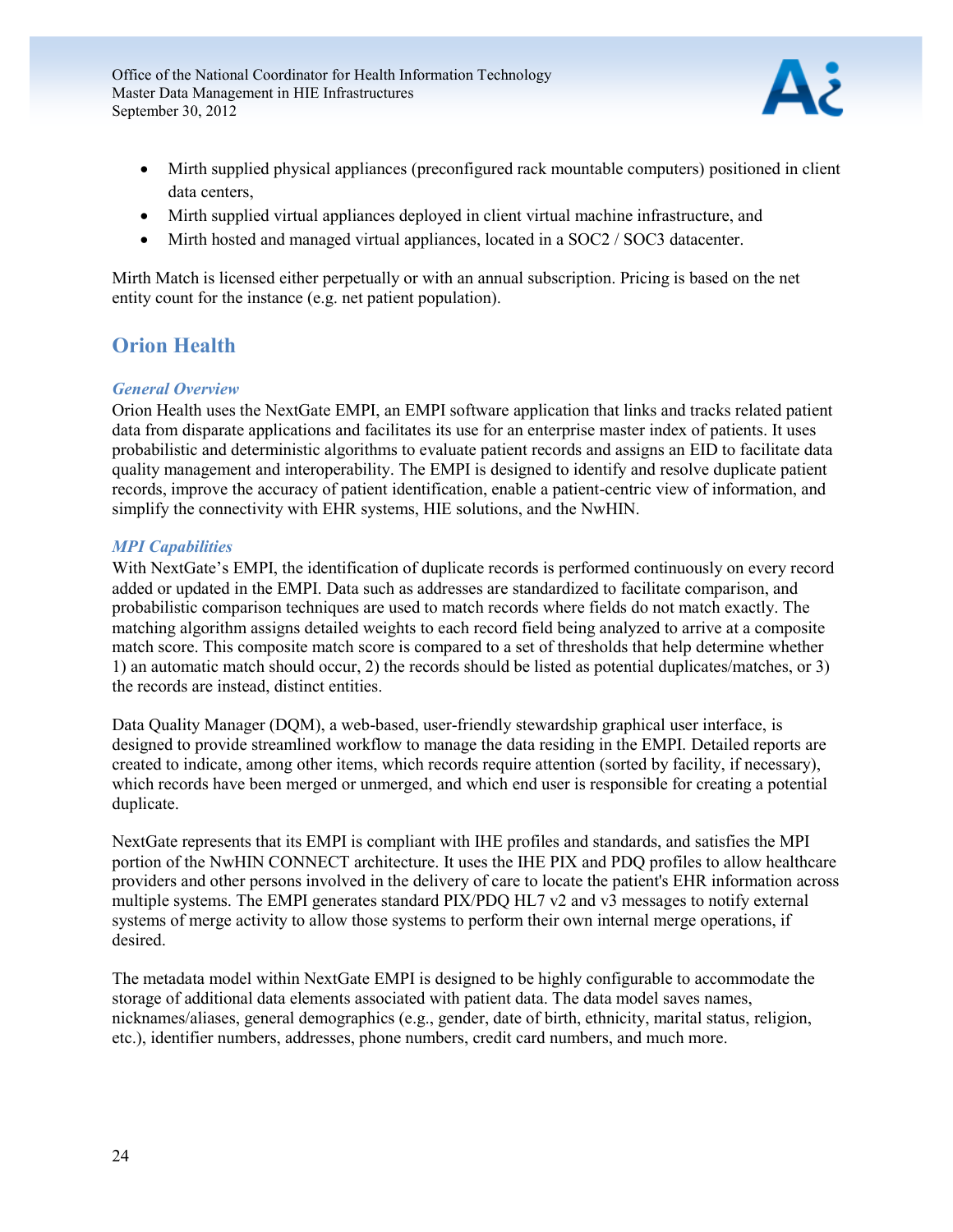

- Mirth supplied physical appliances (preconfigured rack mountable computers) positioned in client data centers,
- Mirth supplied virtual appliances deployed in client virtual machine infrastructure, and
- Mirth hosted and managed virtual appliances, located in a SOC2 / SOC3 datacenter.

Mirth Match is licensed either perpetually or with an annual subscription. Pricing is based on the net entity count for the instance (e.g. net patient population).

## <span id="page-24-0"></span>**Orion Health**

#### *General Overview*

Orion Health uses the NextGate EMPI, an EMPI software application that links and tracks related patient data from disparate applications and facilitates its use for an enterprise master index of patients. It uses probabilistic and deterministic algorithms to evaluate patient records and assigns an EID to facilitate data quality management and interoperability. The EMPI is designed to identify and resolve duplicate patient records, improve the accuracy of patient identification, enable a patient-centric view of information, and simplify the connectivity with EHR systems, HIE solutions, and the NwHIN.

#### *MPI Capabilities*

With NextGate's EMPI, the identification of duplicate records is performed continuously on every record added or updated in the EMPI. Data such as addresses are standardized to facilitate comparison, and probabilistic comparison techniques are used to match records where fields do not match exactly. The matching algorithm assigns detailed weights to each record field being analyzed to arrive at a composite match score. This composite match score is compared to a set of thresholds that help determine whether 1) an automatic match should occur, 2) the records should be listed as potential duplicates/matches, or 3) the records are instead, distinct entities.

Data Quality Manager (DQM), a web-based, user-friendly stewardship graphical user interface, is designed to provide streamlined workflow to manage the data residing in the EMPI. Detailed reports are created to indicate, among other items, which records require attention (sorted by facility, if necessary), which records have been merged or unmerged, and which end user is responsible for creating a potential duplicate.

NextGate represents that its EMPI is compliant with IHE profiles and standards, and satisfies the MPI portion of the NwHIN CONNECT architecture. It uses the IHE PIX and PDQ profiles to allow healthcare providers and other persons involved in the delivery of care to locate the patient's EHR information across multiple systems. The EMPI generates standard PIX/PDQ HL7 v2 and v3 messages to notify external systems of merge activity to allow those systems to perform their own internal merge operations, if desired.

The metadata model within NextGate EMPI is designed to be highly configurable to accommodate the storage of additional data elements associated with patient data. The data model saves names, nicknames/aliases, general demographics (e.g., gender, date of birth, ethnicity, marital status, religion, etc.), identifier numbers, addresses, phone numbers, credit card numbers, and much more.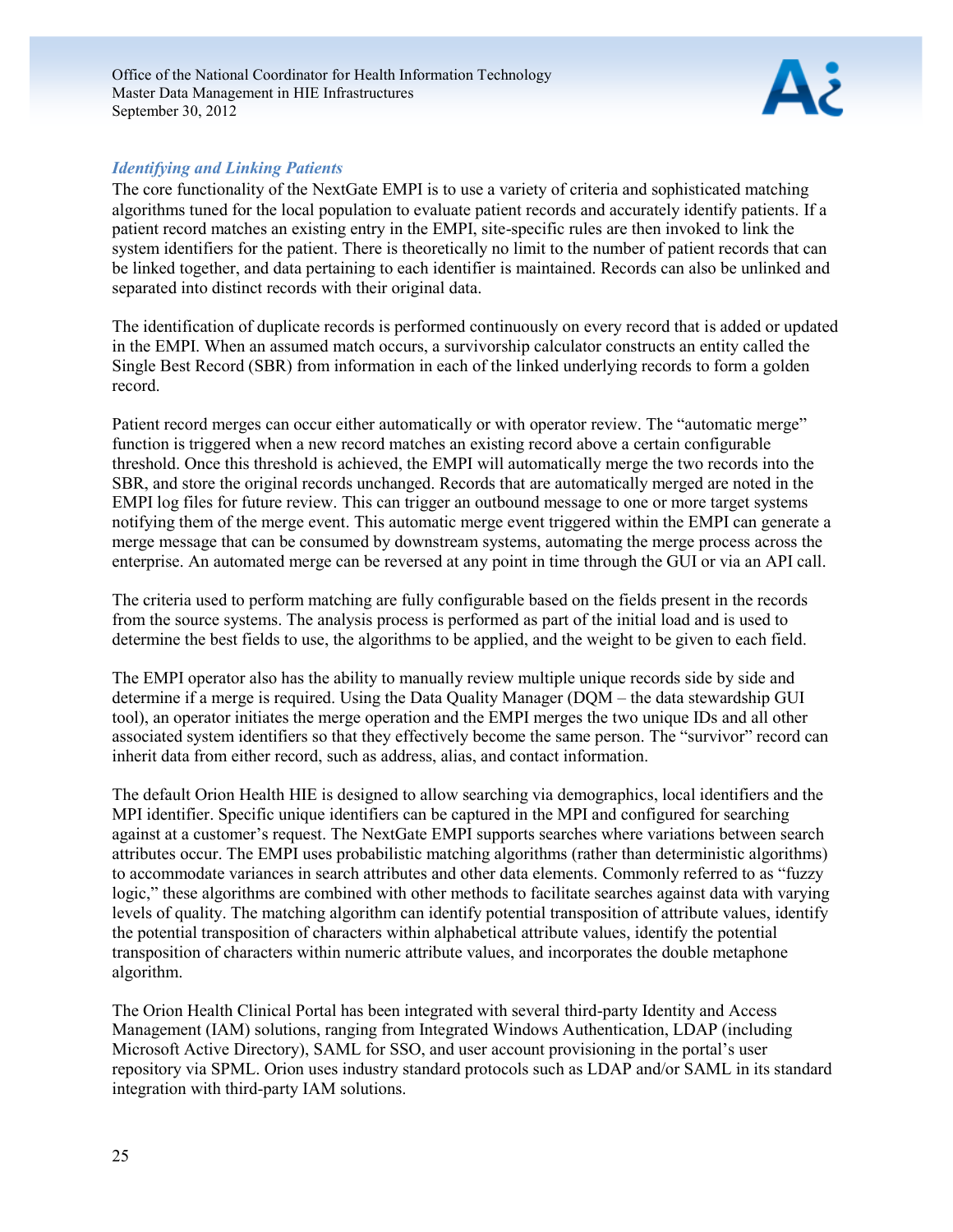

#### *Identifying and Linking Patients*

The core functionality of the NextGate EMPI is to use a variety of criteria and sophisticated matching algorithms tuned for the local population to evaluate patient records and accurately identify patients. If a patient record matches an existing entry in the EMPI, site-specific rules are then invoked to link the system identifiers for the patient. There is theoretically no limit to the number of patient records that can be linked together, and data pertaining to each identifier is maintained. Records can also be unlinked and separated into distinct records with their original data.

The identification of duplicate records is performed continuously on every record that is added or updated in the EMPI. When an assumed match occurs, a survivorship calculator constructs an entity called the Single Best Record (SBR) from information in each of the linked underlying records to form a golden record.

Patient record merges can occur either automatically or with operator review. The "automatic merge" function is triggered when a new record matches an existing record above a certain configurable threshold. Once this threshold is achieved, the EMPI will automatically merge the two records into the SBR, and store the original records unchanged. Records that are automatically merged are noted in the EMPI log files for future review. This can trigger an outbound message to one or more target systems notifying them of the merge event. This automatic merge event triggered within the EMPI can generate a merge message that can be consumed by downstream systems, automating the merge process across the enterprise. An automated merge can be reversed at any point in time through the GUI or via an API call.

The criteria used to perform matching are fully configurable based on the fields present in the records from the source systems. The analysis process is performed as part of the initial load and is used to determine the best fields to use, the algorithms to be applied, and the weight to be given to each field.

The EMPI operator also has the ability to manually review multiple unique records side by side and determine if a merge is required. Using the Data Quality Manager (DQM – the data stewardship GUI tool), an operator initiates the merge operation and the EMPI merges the two unique IDs and all other associated system identifiers so that they effectively become the same person. The "survivor" record can inherit data from either record, such as address, alias, and contact information.

The default Orion Health HIE is designed to allow searching via demographics, local identifiers and the MPI identifier. Specific unique identifiers can be captured in the MPI and configured for searching against at a customer's request. The NextGate EMPI supports searches where variations between search attributes occur. The EMPI uses probabilistic matching algorithms (rather than deterministic algorithms) to accommodate variances in search attributes and other data elements. Commonly referred to as "fuzzy logic," these algorithms are combined with other methods to facilitate searches against data with varying levels of quality. The matching algorithm can identify potential transposition of attribute values, identify the potential transposition of characters within alphabetical attribute values, identify the potential transposition of characters within numeric attribute values, and incorporates the double metaphone algorithm.

The Orion Health Clinical Portal has been integrated with several third-party Identity and Access Management (IAM) solutions, ranging from Integrated Windows Authentication, LDAP (including Microsoft Active Directory), SAML for SSO, and user account provisioning in the portal's user repository via SPML. Orion uses industry standard protocols such as LDAP and/or SAML in its standard integration with third-party IAM solutions.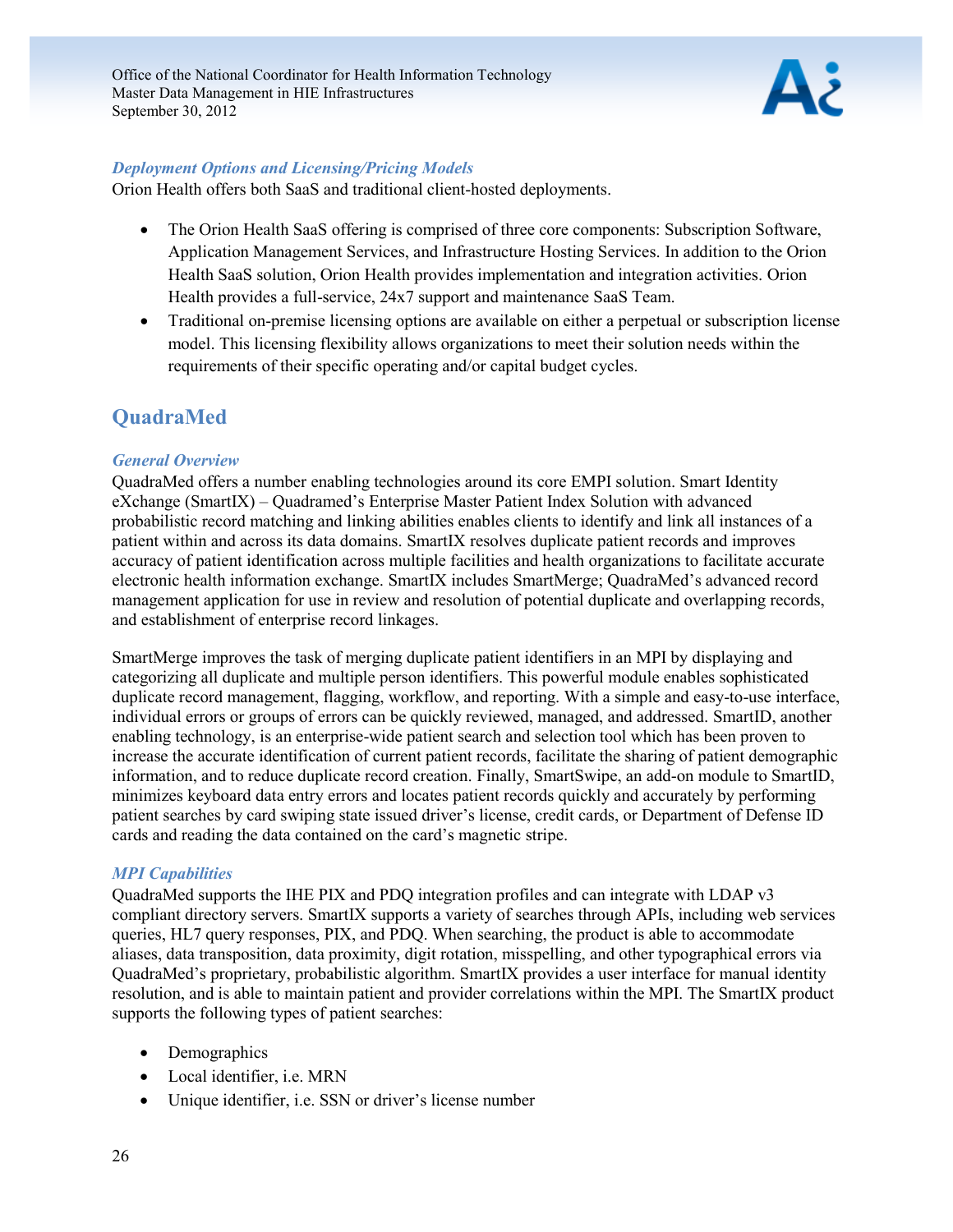

#### *Deployment Options and Licensing/Pricing Models*

Orion Health offers both SaaS and traditional client-hosted deployments.

- The Orion Health SaaS offering is comprised of three core components: Subscription Software, Application Management Services, and Infrastructure Hosting Services. In addition to the Orion Health SaaS solution, Orion Health provides implementation and integration activities. Orion Health provides a full-service, 24x7 support and maintenance SaaS Team.
- Traditional on-premise licensing options are available on either a perpetual or subscription license model. This licensing flexibility allows organizations to meet their solution needs within the requirements of their specific operating and/or capital budget cycles.

## <span id="page-26-0"></span>**QuadraMed**

#### *General Overview*

QuadraMed offers a number enabling technologies around its core EMPI solution. Smart Identity eXchange (SmartIX) – Quadramed's Enterprise Master Patient Index Solution with advanced probabilistic record matching and linking abilities enables clients to identify and link all instances of a patient within and across its data domains. SmartIX resolves duplicate patient records and improves accuracy of patient identification across multiple facilities and health organizations to facilitate accurate electronic health information exchange. SmartIX includes SmartMerge; QuadraMed's advanced record management application for use in review and resolution of potential duplicate and overlapping records, and establishment of enterprise record linkages.

SmartMerge improves the task of merging duplicate patient identifiers in an MPI by displaying and categorizing all duplicate and multiple person identifiers. This powerful module enables sophisticated duplicate record management, flagging, workflow, and reporting. With a simple and easy-to-use interface, individual errors or groups of errors can be quickly reviewed, managed, and addressed. SmartID, another enabling technology, is an enterprise-wide patient search and selection tool which has been proven to increase the accurate identification of current patient records, facilitate the sharing of patient demographic information, and to reduce duplicate record creation. Finally, SmartSwipe, an add-on module to SmartID, minimizes keyboard data entry errors and locates patient records quickly and accurately by performing patient searches by card swiping state issued driver's license, credit cards, or Department of Defense ID cards and reading the data contained on the card's magnetic stripe.

#### *MPI Capabilities*

QuadraMed supports the IHE PIX and PDQ integration profiles and can integrate with LDAP v3 compliant directory servers. SmartIX supports a variety of searches through APIs, including web services queries, HL7 query responses, PIX, and PDQ. When searching, the product is able to accommodate aliases, data transposition, data proximity, digit rotation, misspelling, and other typographical errors via QuadraMed's proprietary, probabilistic algorithm. SmartIX provides a user interface for manual identity resolution, and is able to maintain patient and provider correlations within the MPI. The SmartIX product supports the following types of patient searches:

- Demographics
- Local identifier, i.e. MRN
- Unique identifier, i.e. SSN or driver's license number